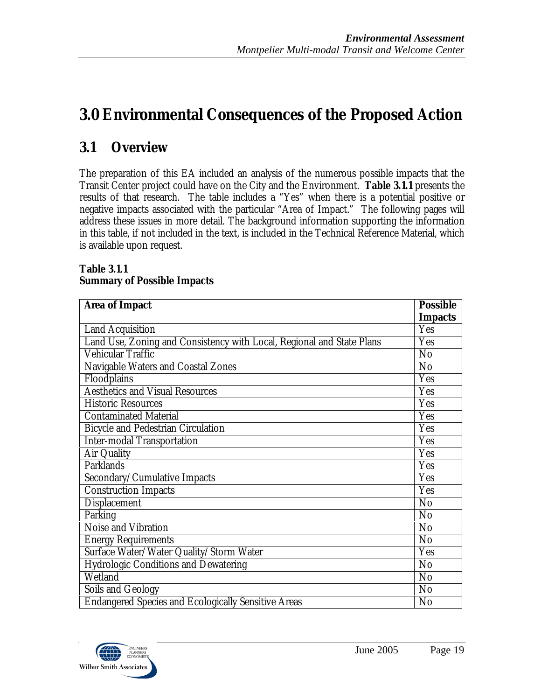# **3.0 Environmental Consequences of the Proposed Action**

# **3.1 Overview**

The preparation of this EA included an analysis of the numerous possible impacts that the Transit Center project could have on the City and the Environment. **Table 3.1.1** presents the results of that research. The table includes a "Yes" when there is a potential positive or negative impacts associated with the particular "Area of Impact." The following pages will address these issues in more detail. The background information supporting the information in this table, if not included in the text, is included in the Technical Reference Material, which is available upon request.

### **Table 3.1.1 Summary of Possible Impacts**

| <b>Area of Impact</b>                                                 | <b>Possible</b> |
|-----------------------------------------------------------------------|-----------------|
|                                                                       | <b>Impacts</b>  |
| <b>Land Acquisition</b>                                               | Yes             |
| Land Use, Zoning and Consistency with Local, Regional and State Plans | Yes             |
| Vehicular Traffic                                                     | No              |
| Navigable Waters and Coastal Zones                                    | No              |
| Floodplains                                                           | Yes             |
| <b>Aesthetics and Visual Resources</b>                                | Yes             |
| <b>Historic Resources</b>                                             | Yes             |
| <b>Contaminated Material</b>                                          | Yes             |
| <b>Bicycle and Pedestrian Circulation</b>                             | Yes             |
| <b>Inter-modal Transportation</b>                                     | Yes             |
| Air Quality                                                           | Yes             |
| Parklands                                                             | Yes             |
| Secondary/Cumulative Impacts                                          | Yes             |
| <b>Construction Impacts</b>                                           | Yes             |
| Displacement                                                          | No              |
| Parking                                                               | N <sub>o</sub>  |
| Noise and Vibration                                                   | No              |
| <b>Energy Requirements</b>                                            | No              |
| Surface Water/Water Quality/Storm Water                               | Yes             |
| Hydrologic Conditions and Dewatering                                  | No              |
| Wetland                                                               | No              |
| Soils and Geology                                                     | N <sub>0</sub>  |
| <b>Endangered Species and Ecologically Sensitive Areas</b>            | No              |

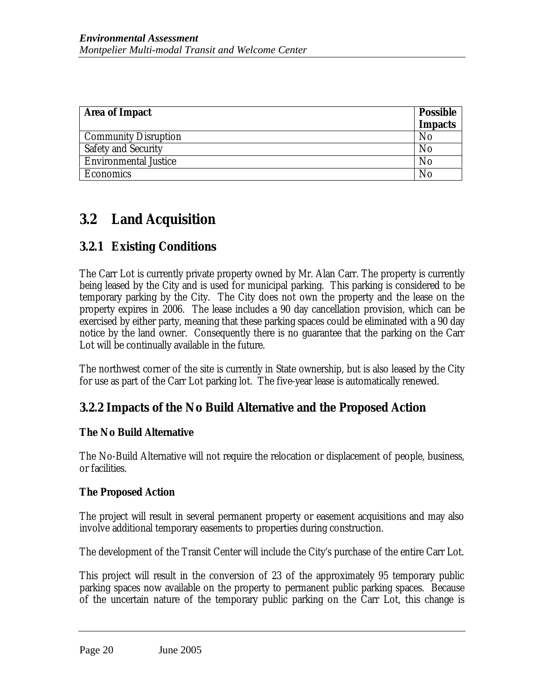| <b>Area of Impact</b>        | <b>Possible</b> |
|------------------------------|-----------------|
|                              | <b>Impacts</b>  |
| <b>Community Disruption</b>  | No              |
| Safety and Security          | No              |
| <b>Environmental Justice</b> | No              |
| Economics                    | No              |

# **3.2 Land Acquisition**

# **3.2.1 Existing Conditions**

The Carr Lot is currently private property owned by Mr. Alan Carr. The property is currently being leased by the City and is used for municipal parking. This parking is considered to be temporary parking by the City. The City does not own the property and the lease on the property expires in 2006. The lease includes a 90 day cancellation provision, which can be exercised by either party, meaning that these parking spaces could be eliminated with a 90 day notice by the land owner. Consequently there is no guarantee that the parking on the Carr Lot will be continually available in the future.

The northwest corner of the site is currently in State ownership, but is also leased by the City for use as part of the Carr Lot parking lot. The five-year lease is automatically renewed.

## **3.2.2 Impacts of the No Build Alternative and the Proposed Action**

### **The No Build Alternative**

The No-Build Alternative will not require the relocation or displacement of people, business, or facilities.

## **The Proposed Action**

The project will result in several permanent property or easement acquisitions and may also involve additional temporary easements to properties during construction.

The development of the Transit Center will include the City's purchase of the entire Carr Lot.

This project will result in the conversion of 23 of the approximately 95 temporary public parking spaces now available on the property to permanent public parking spaces. Because of the uncertain nature of the temporary public parking on the Carr Lot, this change is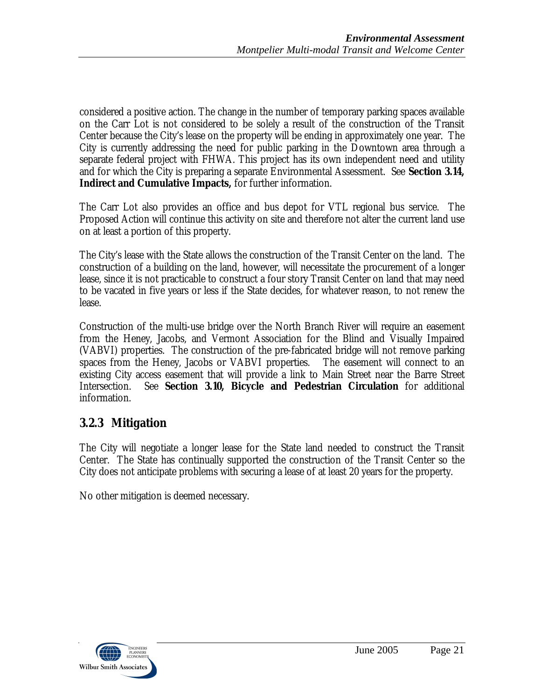considered a positive action. The change in the number of temporary parking spaces available on the Carr Lot is not considered to be solely a result of the construction of the Transit Center because the City's lease on the property will be ending in approximately one year. The City is currently addressing the need for public parking in the Downtown area through a separate federal project with FHWA. This project has its own independent need and utility and for which the City is preparing a separate Environmental Assessment. See **Section 3.14, Indirect and Cumulative Impacts,** for further information.

The Carr Lot also provides an office and bus depot for VTL regional bus service. The Proposed Action will continue this activity on site and therefore not alter the current land use on at least a portion of this property.

The City's lease with the State allows the construction of the Transit Center on the land. The construction of a building on the land, however, will necessitate the procurement of a longer lease, since it is not practicable to construct a four story Transit Center on land that may need to be vacated in five years or less if the State decides, for whatever reason, to not renew the lease.

Construction of the multi-use bridge over the North Branch River will require an easement from the Heney, Jacobs, and Vermont Association for the Blind and Visually Impaired (VABVI) properties. The construction of the pre-fabricated bridge will not remove parking spaces from the Heney, Jacobs or VABVI properties. The easement will connect to an existing City access easement that will provide a link to Main Street near the Barre Street Intersection. See **Section 3.10, Bicycle and Pedestrian Circulation** for additional information.

# **3.2.3 Mitigation**

The City will negotiate a longer lease for the State land needed to construct the Transit Center. The State has continually supported the construction of the Transit Center so the City does not anticipate problems with securing a lease of at least 20 years for the property.

No other mitigation is deemed necessary.

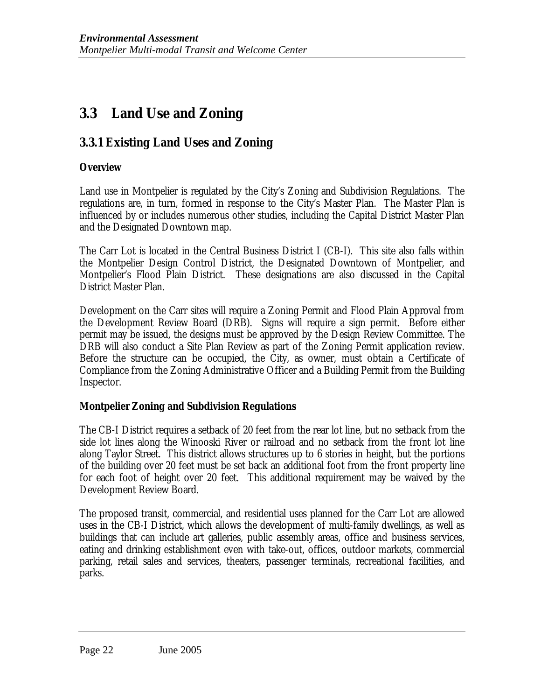# **3.3 Land Use and Zoning**

# **3.3.1 Existing Land Uses and Zoning**

### **Overview**

Land use in Montpelier is regulated by the City's Zoning and Subdivision Regulations. The regulations are, in turn, formed in response to the City's Master Plan. The Master Plan is influenced by or includes numerous other studies, including the Capital District Master Plan and the Designated Downtown map.

The Carr Lot is located in the Central Business District I (CB-I). This site also falls within the Montpelier Design Control District, the Designated Downtown of Montpelier, and Montpelier's Flood Plain District. These designations are also discussed in the Capital District Master Plan.

Development on the Carr sites will require a Zoning Permit and Flood Plain Approval from the Development Review Board (DRB). Signs will require a sign permit. Before either permit may be issued, the designs must be approved by the Design Review Committee. The DRB will also conduct a Site Plan Review as part of the Zoning Permit application review. Before the structure can be occupied, the City, as owner, must obtain a Certificate of Compliance from the Zoning Administrative Officer and a Building Permit from the Building Inspector.

### **Montpelier Zoning and Subdivision Regulations**

The CB-I District requires a setback of 20 feet from the rear lot line, but no setback from the side lot lines along the Winooski River or railroad and no setback from the front lot line along Taylor Street. This district allows structures up to 6 stories in height, but the portions of the building over 20 feet must be set back an additional foot from the front property line for each foot of height over 20 feet. This additional requirement may be waived by the Development Review Board.

The proposed transit, commercial, and residential uses planned for the Carr Lot are allowed uses in the CB-I District, which allows the development of multi-family dwellings, as well as buildings that can include art galleries, public assembly areas, office and business services, eating and drinking establishment even with take-out, offices, outdoor markets, commercial parking, retail sales and services, theaters, passenger terminals, recreational facilities, and parks.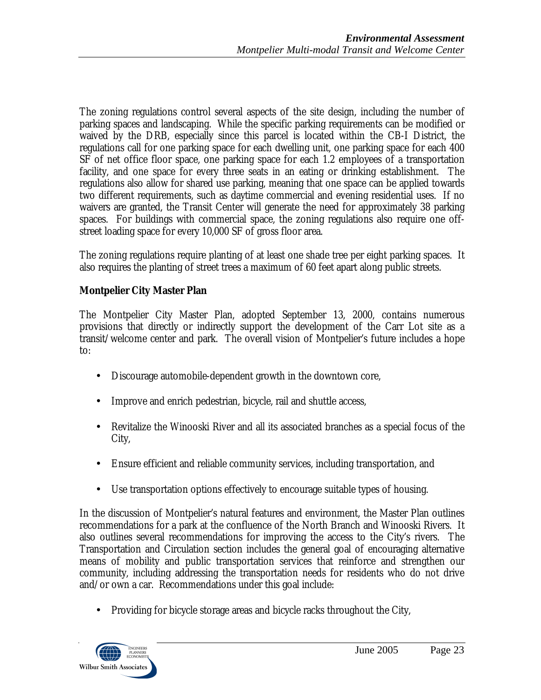The zoning regulations control several aspects of the site design, including the number of parking spaces and landscaping. While the specific parking requirements can be modified or waived by the DRB, especially since this parcel is located within the CB-I District, the regulations call for one parking space for each dwelling unit, one parking space for each 400 SF of net office floor space, one parking space for each 1.2 employees of a transportation facility, and one space for every three seats in an eating or drinking establishment. The regulations also allow for shared use parking, meaning that one space can be applied towards two different requirements, such as daytime commercial and evening residential uses. If no waivers are granted, the Transit Center will generate the need for approximately 38 parking spaces. For buildings with commercial space, the zoning regulations also require one offstreet loading space for every 10,000 SF of gross floor area.

The zoning regulations require planting of at least one shade tree per eight parking spaces. It also requires the planting of street trees a maximum of 60 feet apart along public streets.

## **Montpelier City Master Plan**

The Montpelier City Master Plan, adopted September 13, 2000, contains numerous provisions that directly or indirectly support the development of the Carr Lot site as a transit/welcome center and park. The overall vision of Montpelier's future includes a hope to:

- Discourage automobile-dependent growth in the downtown core,
- Improve and enrich pedestrian, bicycle, rail and shuttle access,
- Revitalize the Winooski River and all its associated branches as a special focus of the City,
- Ensure efficient and reliable community services, including transportation, and
- Use transportation options effectively to encourage suitable types of housing.

In the discussion of Montpelier's natural features and environment, the Master Plan outlines recommendations for a park at the confluence of the North Branch and Winooski Rivers. It also outlines several recommendations for improving the access to the City's rivers. The Transportation and Circulation section includes the general goal of encouraging alternative means of mobility and public transportation services that reinforce and strengthen our community, including addressing the transportation needs for residents who do not drive and/or own a car. Recommendations under this goal include:

• Providing for bicycle storage areas and bicycle racks throughout the City,

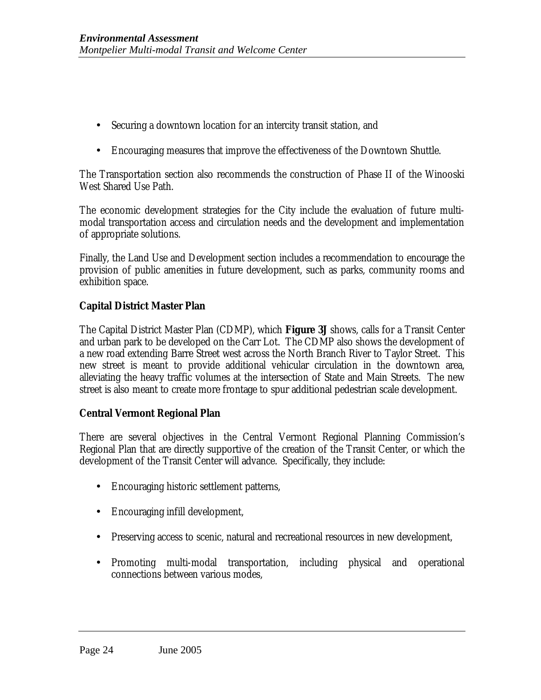- Securing a downtown location for an intercity transit station, and
- Encouraging measures that improve the effectiveness of the Downtown Shuttle.

The Transportation section also recommends the construction of Phase II of the Winooski West Shared Use Path.

The economic development strategies for the City include the evaluation of future multimodal transportation access and circulation needs and the development and implementation of appropriate solutions.

Finally, the Land Use and Development section includes a recommendation to encourage the provision of public amenities in future development, such as parks, community rooms and exhibition space.

### **Capital District Master Plan**

The Capital District Master Plan (CDMP), which **Figure 3J** shows, calls for a Transit Center and urban park to be developed on the Carr Lot. The CDMP also shows the development of a new road extending Barre Street west across the North Branch River to Taylor Street. This new street is meant to provide additional vehicular circulation in the downtown area, alleviating the heavy traffic volumes at the intersection of State and Main Streets. The new street is also meant to create more frontage to spur additional pedestrian scale development.

### **Central Vermont Regional Plan**

There are several objectives in the Central Vermont Regional Planning Commission's Regional Plan that are directly supportive of the creation of the Transit Center, or which the development of the Transit Center will advance. Specifically, they include:

- Encouraging historic settlement patterns,
- Encouraging infill development,
- Preserving access to scenic, natural and recreational resources in new development,
- Promoting multi-modal transportation, including physical and operational connections between various modes,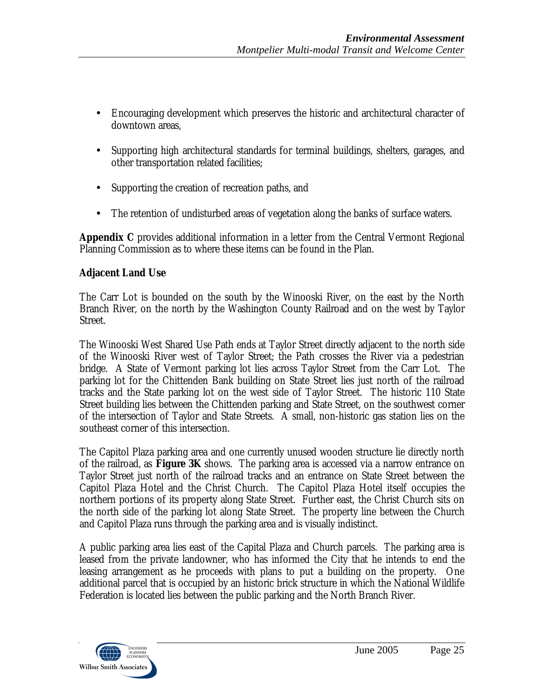- Encouraging development which preserves the historic and architectural character of downtown areas,
- Supporting high architectural standards for terminal buildings, shelters, garages, and other transportation related facilities;
- Supporting the creation of recreation paths, and
- The retention of undisturbed areas of vegetation along the banks of surface waters.

**Appendix C** provides additional information in a letter from the Central Vermont Regional Planning Commission as to where these items can be found in the Plan.

## **Adjacent Land Use**

The Carr Lot is bounded on the south by the Winooski River, on the east by the North Branch River, on the north by the Washington County Railroad and on the west by Taylor Street.

The Winooski West Shared Use Path ends at Taylor Street directly adjacent to the north side of the Winooski River west of Taylor Street; the Path crosses the River via a pedestrian bridge. A State of Vermont parking lot lies across Taylor Street from the Carr Lot. The parking lot for the Chittenden Bank building on State Street lies just north of the railroad tracks and the State parking lot on the west side of Taylor Street. The historic 110 State Street building lies between the Chittenden parking and State Street, on the southwest corner of the intersection of Taylor and State Streets. A small, non-historic gas station lies on the southeast corner of this intersection.

The Capitol Plaza parking area and one currently unused wooden structure lie directly north of the railroad, as **Figure 3K** shows. The parking area is accessed via a narrow entrance on Taylor Street just north of the railroad tracks and an entrance on State Street between the Capitol Plaza Hotel and the Christ Church. The Capitol Plaza Hotel itself occupies the northern portions of its property along State Street. Further east, the Christ Church sits on the north side of the parking lot along State Street. The property line between the Church and Capitol Plaza runs through the parking area and is visually indistinct.

A public parking area lies east of the Capital Plaza and Church parcels. The parking area is leased from the private landowner, who has informed the City that he intends to end the leasing arrangement as he proceeds with plans to put a building on the property. One additional parcel that is occupied by an historic brick structure in which the National Wildlife Federation is located lies between the public parking and the North Branch River.

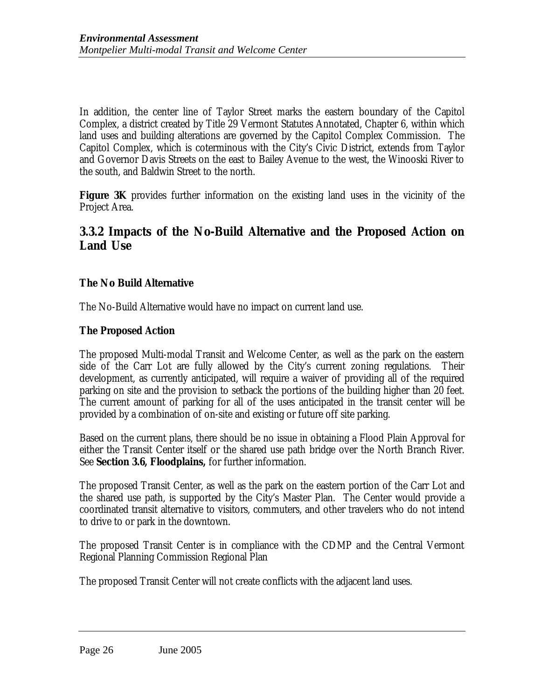In addition, the center line of Taylor Street marks the eastern boundary of the Capitol Complex, a district created by Title 29 Vermont Statutes Annotated, Chapter 6, within which land uses and building alterations are governed by the Capitol Complex Commission. The Capitol Complex, which is coterminous with the City's Civic District, extends from Taylor and Governor Davis Streets on the east to Bailey Avenue to the west, the Winooski River to the south, and Baldwin Street to the north.

**Figure 3K** provides further information on the existing land uses in the vicinity of the Project Area.

## **3.3.2 Impacts of the No-Build Alternative and the Proposed Action on Land Use**

### **The No Build Alternative**

The No-Build Alternative would have no impact on current land use.

### **The Proposed Action**

The proposed Multi-modal Transit and Welcome Center, as well as the park on the eastern side of the Carr Lot are fully allowed by the City's current zoning regulations. Their development, as currently anticipated, will require a waiver of providing all of the required parking on site and the provision to setback the portions of the building higher than 20 feet. The current amount of parking for all of the uses anticipated in the transit center will be provided by a combination of on-site and existing or future off site parking.

Based on the current plans, there should be no issue in obtaining a Flood Plain Approval for either the Transit Center itself or the shared use path bridge over the North Branch River. See **Section 3.6, Floodplains,** for further information.

The proposed Transit Center, as well as the park on the eastern portion of the Carr Lot and the shared use path, is supported by the City's Master Plan. The Center would provide a coordinated transit alternative to visitors, commuters, and other travelers who do not intend to drive to or park in the downtown.

The proposed Transit Center is in compliance with the CDMP and the Central Vermont Regional Planning Commission Regional Plan

The proposed Transit Center will not create conflicts with the adjacent land uses.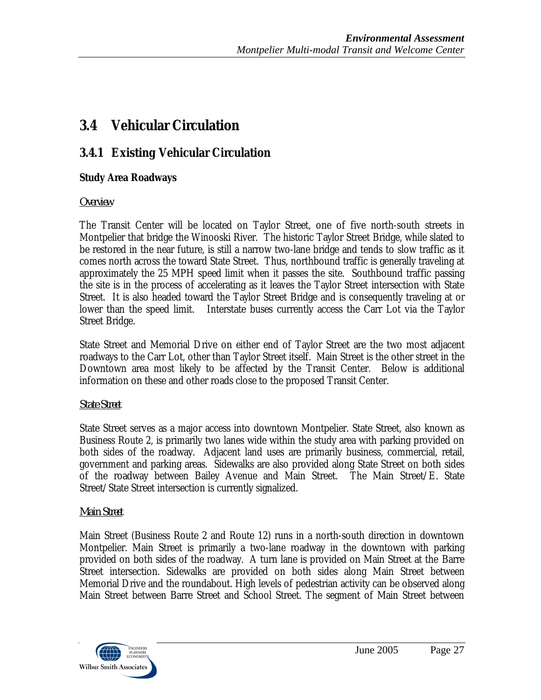# **3.4 Vehicular Circulation**

# **3.4.1 Existing Vehicular Circulation**

## **Study Area Roadways**

## *Overview*

The Transit Center will be located on Taylor Street, one of five north-south streets in Montpelier that bridge the Winooski River. The historic Taylor Street Bridge, while slated to be restored in the near future, is still a narrow two-lane bridge and tends to slow traffic as it comes north across the toward State Street. Thus, northbound traffic is generally traveling at approximately the 25 MPH speed limit when it passes the site. Southbound traffic passing the site is in the process of accelerating as it leaves the Taylor Street intersection with State Street. It is also headed toward the Taylor Street Bridge and is consequently traveling at or lower than the speed limit. Interstate buses currently access the Carr Lot via the Taylor Street Bridge.

State Street and Memorial Drive on either end of Taylor Street are the two most adjacent roadways to the Carr Lot, other than Taylor Street itself. Main Street is the other street in the Downtown area most likely to be affected by the Transit Center. Below is additional information on these and other roads close to the proposed Transit Center.

## *State Street*

State Street serves as a major access into downtown Montpelier. State Street, also known as Business Route 2, is primarily two lanes wide within the study area with parking provided on both sides of the roadway. Adjacent land uses are primarily business, commercial, retail, government and parking areas. Sidewalks are also provided along State Street on both sides of the roadway between Bailey Avenue and Main Street. The Main Street/E. State Street/State Street intersection is currently signalized.

## *Main Street*

Main Street (Business Route 2 and Route 12) runs in a north-south direction in downtown Montpelier. Main Street is primarily a two-lane roadway in the downtown with parking provided on both sides of the roadway. A turn lane is provided on Main Street at the Barre Street intersection. Sidewalks are provided on both sides along Main Street between Memorial Drive and the roundabout. High levels of pedestrian activity can be observed along Main Street between Barre Street and School Street. The segment of Main Street between

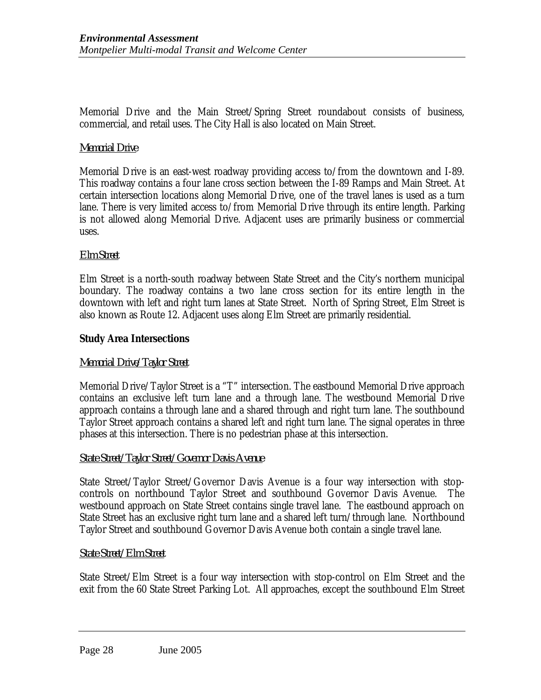Memorial Drive and the Main Street/Spring Street roundabout consists of business, commercial, and retail uses. The City Hall is also located on Main Street.

### *Memorial Drive*

Memorial Drive is an east-west roadway providing access to/from the downtown and I-89. This roadway contains a four lane cross section between the I-89 Ramps and Main Street. At certain intersection locations along Memorial Drive, one of the travel lanes is used as a turn lane. There is very limited access to/from Memorial Drive through its entire length. Parking is not allowed along Memorial Drive. Adjacent uses are primarily business or commercial uses.

#### *Elm Street*

Elm Street is a north-south roadway between State Street and the City's northern municipal boundary. The roadway contains a two lane cross section for its entire length in the downtown with left and right turn lanes at State Street. North of Spring Street, Elm Street is also known as Route 12. Adjacent uses along Elm Street are primarily residential.

### **Study Area Intersections**

#### *Memorial Drive/Taylor Street*

Memorial Drive/Taylor Street is a "T" intersection. The eastbound Memorial Drive approach contains an exclusive left turn lane and a through lane. The westbound Memorial Drive approach contains a through lane and a shared through and right turn lane. The southbound Taylor Street approach contains a shared left and right turn lane. The signal operates in three phases at this intersection. There is no pedestrian phase at this intersection.

#### *State Street/Taylor Street/Governor Davis Avenue*

State Street/Taylor Street/Governor Davis Avenue is a four way intersection with stopcontrols on northbound Taylor Street and southbound Governor Davis Avenue. The westbound approach on State Street contains single travel lane. The eastbound approach on State Street has an exclusive right turn lane and a shared left turn/through lane. Northbound Taylor Street and southbound Governor Davis Avenue both contain a single travel lane.

#### *State Street/Elm Street*

State Street/Elm Street is a four way intersection with stop-control on Elm Street and the exit from the 60 State Street Parking Lot. All approaches, except the southbound Elm Street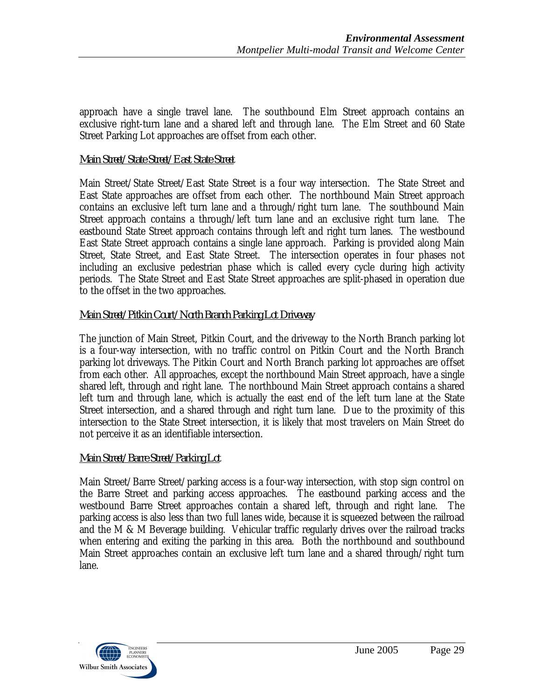approach have a single travel lane. The southbound Elm Street approach contains an exclusive right-turn lane and a shared left and through lane. The Elm Street and 60 State Street Parking Lot approaches are offset from each other.

### *Main Street/State Street/East State Street*

Main Street/State Street/East State Street is a four way intersection. The State Street and East State approaches are offset from each other. The northbound Main Street approach contains an exclusive left turn lane and a through/right turn lane. The southbound Main Street approach contains a through/left turn lane and an exclusive right turn lane. The eastbound State Street approach contains through left and right turn lanes. The westbound East State Street approach contains a single lane approach. Parking is provided along Main Street, State Street, and East State Street. The intersection operates in four phases not including an exclusive pedestrian phase which is called every cycle during high activity periods. The State Street and East State Street approaches are split-phased in operation due to the offset in the two approaches.

### *Main Street/Pitkin Court/North Branch Parking Lot Driveway*

The junction of Main Street, Pitkin Court, and the driveway to the North Branch parking lot is a four-way intersection, with no traffic control on Pitkin Court and the North Branch parking lot driveways. The Pitkin Court and North Branch parking lot approaches are offset from each other. All approaches, except the northbound Main Street approach, have a single shared left, through and right lane. The northbound Main Street approach contains a shared left turn and through lane, which is actually the east end of the left turn lane at the State Street intersection, and a shared through and right turn lane. Due to the proximity of this intersection to the State Street intersection, it is likely that most travelers on Main Street do not perceive it as an identifiable intersection.

### *Main Street/Barre Street/Parking Lot*

Main Street/Barre Street/parking access is a four-way intersection, with stop sign control on the Barre Street and parking access approaches. The eastbound parking access and the westbound Barre Street approaches contain a shared left, through and right lane. The parking access is also less than two full lanes wide, because it is squeezed between the railroad and the M & M Beverage building. Vehicular traffic regularly drives over the railroad tracks when entering and exiting the parking in this area. Both the northbound and southbound Main Street approaches contain an exclusive left turn lane and a shared through/right turn lane.

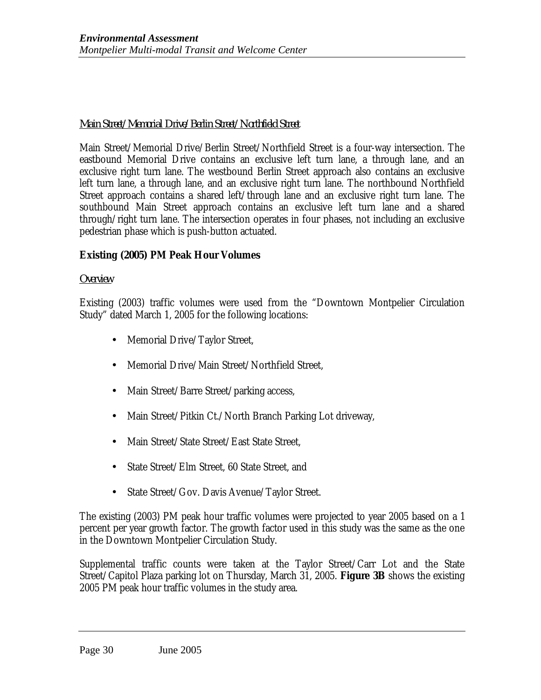### *Main Street/Memorial Drive/Berlin Street/Northfield Street*

Main Street/Memorial Drive/Berlin Street/Northfield Street is a four-way intersection. The eastbound Memorial Drive contains an exclusive left turn lane, a through lane, and an exclusive right turn lane. The westbound Berlin Street approach also contains an exclusive left turn lane, a through lane, and an exclusive right turn lane. The northbound Northfield Street approach contains a shared left/through lane and an exclusive right turn lane. The southbound Main Street approach contains an exclusive left turn lane and a shared through/right turn lane. The intersection operates in four phases, not including an exclusive pedestrian phase which is push-button actuated.

### **Existing (2005) PM Peak Hour Volumes**

#### *Overview*

Existing (2003) traffic volumes were used from the "Downtown Montpelier Circulation Study" dated March 1, 2005 for the following locations:

- Memorial Drive/Taylor Street,
- Memorial Drive/Main Street/Northfield Street.
- Main Street/Barre Street/parking access,
- Main Street/Pitkin Ct./North Branch Parking Lot driveway,
- Main Street/State Street/East State Street,
- State Street/Elm Street, 60 State Street, and
- State Street/Gov. Davis Avenue/Taylor Street.

The existing (2003) PM peak hour traffic volumes were projected to year 2005 based on a 1 percent per year growth factor. The growth factor used in this study was the same as the one in the Downtown Montpelier Circulation Study.

Supplemental traffic counts were taken at the Taylor Street/Carr Lot and the State Street/Capitol Plaza parking lot on Thursday, March 31, 2005. **Figure 3B** shows the existing 2005 PM peak hour traffic volumes in the study area.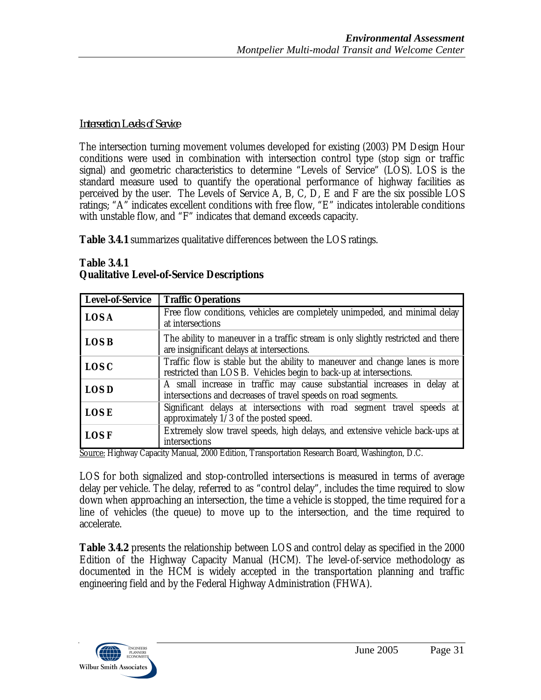### *Intersection Levels of Service*

The intersection turning movement volumes developed for existing (2003) PM Design Hour conditions were used in combination with intersection control type (stop sign or traffic signal) and geometric characteristics to determine "Levels of Service" (LOS). LOS is the standard measure used to quantify the operational performance of highway facilities as perceived by the user. The Levels of Service A, B, C, D, E and F are the six possible LOS ratings; "A" indicates excellent conditions with free flow, "E" indicates intolerable conditions with unstable flow, and "F" indicates that demand exceeds capacity.

**Table 3.4.1** summarizes qualitative differences between the LOS ratings.

| <b>Level-of-Service</b>                         | <b>Traffic Operations</b>                                                                                                                         |
|-------------------------------------------------|---------------------------------------------------------------------------------------------------------------------------------------------------|
| <b>LOS A</b>                                    | Free flow conditions, vehicles are completely unimpeded, and minimal delay<br>at intersections                                                    |
| <b>LOS B</b>                                    | The ability to maneuver in a traffic stream is only slightly restricted and there<br>are insignificant delays at intersections.                   |
| <b>LOS C</b>                                    | Traffic flow is stable but the ability to maneuver and change lanes is more<br>restricted than LOS B. Vehicles begin to back-up at intersections. |
| <b>LOS D</b>                                    | A small increase in traffic may cause substantial increases in delay at<br>intersections and decreases of travel speeds on road segments.         |
| <b>LOSE</b>                                     | Significant delays at intersections with road segment travel speeds at<br>approximately 1/3 of the posted speed.                                  |
| <b>LOS F</b><br><b>TT</b> 1<br>$\sim$<br>$\sim$ | Extremely slow travel speeds, high delays, and extensive vehicle back-ups at<br>intersections<br>$\blacksquare$<br>$\mathbf{m}$                   |

#### **Table 3.4.1 Qualitative Level-of-Service Descriptions**

Source: Highway Capacity Manual, 2000 Edition, Transportation Research Board, Washington, D.C.

LOS for both signalized and stop-controlled intersections is measured in terms of average delay per vehicle. The delay, referred to as "control delay", includes the time required to slow down when approaching an intersection, the time a vehicle is stopped, the time required for a line of vehicles (the queue) to move up to the intersection, and the time required to accelerate.

**Table 3.4.2** presents the relationship between LOS and control delay as specified in the 2000 Edition of the Highway Capacity Manual (HCM). The level-of-service methodology as documented in the HCM is widely accepted in the transportation planning and traffic engineering field and by the Federal Highway Administration (FHWA).

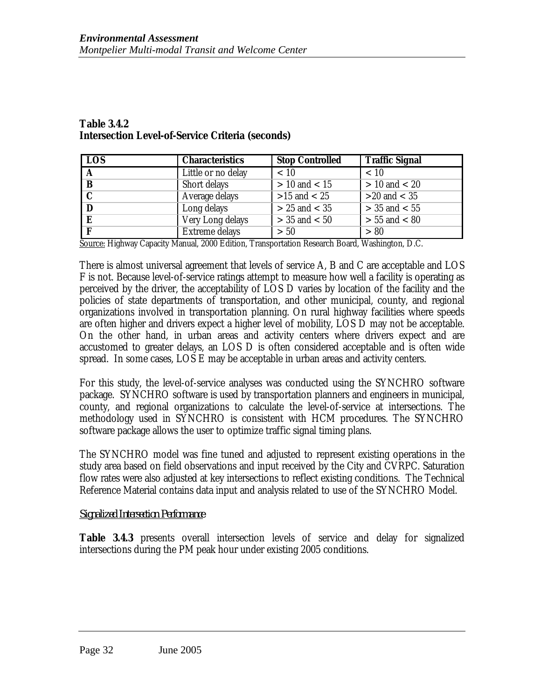### **Table 3.4.2 Intersection Level-of-Service Criteria (seconds)**

| LOS <sup>1</sup> | <b>Characteristics</b> | <b>Stop Controlled</b> | <b>Traffic Signal</b> |
|------------------|------------------------|------------------------|-----------------------|
| $\mathbf{A}$     | Little or no delay     | < 10                   | < 10                  |
| $\mathbf B$      | Short delays           | $> 10$ and $< 15$      | $> 10$ and $< 20$     |
| $\overline{c}$   | Average delays         | $>15$ and $< 25$       | $>20$ and $< 35$      |
| $\mathbf D$      | Long delays            | $> 25$ and $< 35$      | $>$ 35 and $<$ 55     |
| E                | Very Long delays       | $> 35$ and $< 50$      | $> 55$ and $< 80$     |
| - F              | Extreme delays         | > 50                   | > 80                  |

Source: Highway Capacity Manual, 2000 Edition, Transportation Research Board, Washington, D.C.

There is almost universal agreement that levels of service A, B and C are acceptable and LOS F is not. Because level-of-service ratings attempt to measure how well a facility is operating as perceived by the driver, the acceptability of LOS D varies by location of the facility and the policies of state departments of transportation, and other municipal, county, and regional organizations involved in transportation planning. On rural highway facilities where speeds are often higher and drivers expect a higher level of mobility, LOS D may not be acceptable. On the other hand, in urban areas and activity centers where drivers expect and are accustomed to greater delays, an LOS D is often considered acceptable and is often wide spread. In some cases, LOS E may be acceptable in urban areas and activity centers.

For this study, the level-of-service analyses was conducted using the SYNCHRO software package. SYNCHRO software is used by transportation planners and engineers in municipal, county, and regional organizations to calculate the level-of-service at intersections. The methodology used in SYNCHRO is consistent with HCM procedures. The SYNCHRO software package allows the user to optimize traffic signal timing plans.

The SYNCHRO model was fine tuned and adjusted to represent existing operations in the study area based on field observations and input received by the City and CVRPC. Saturation flow rates were also adjusted at key intersections to reflect existing conditions. The Technical Reference Material contains data input and analysis related to use of the SYNCHRO Model.

### *Signalized Intersection Performance*

**Table 3.4.3** presents overall intersection levels of service and delay for signalized intersections during the PM peak hour under existing 2005 conditions.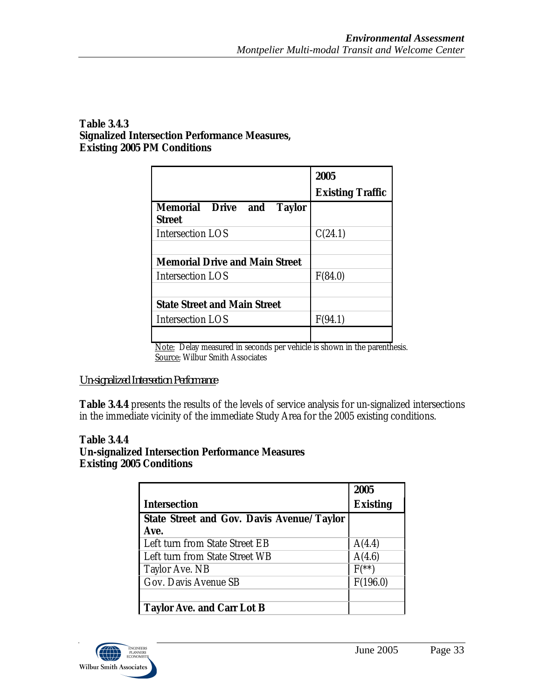### **Table 3.4.3 Signalized Intersection Performance Measures, Existing 2005 PM Conditions**

|                                                   | 2005                    |
|---------------------------------------------------|-------------------------|
|                                                   | <b>Existing Traffic</b> |
| <b>Memorial Drive and Taylor</b><br><b>Street</b> |                         |
| <b>Intersection LOS</b>                           | C(24.1)                 |
|                                                   |                         |
| <b>Memorial Drive and Main Street</b>             |                         |
| <b>Intersection LOS</b>                           | F(84.0)                 |
|                                                   |                         |
| <b>State Street and Main Street</b>               |                         |
| <b>Intersection LOS</b>                           | F(94.1)                 |
|                                                   |                         |

Note: Delay measured in seconds per vehicle is shown in the parenthesis. Source: Wilbur Smith Associates

## *Un-signalized Intersection Performance*

**Table 3.4.4** presents the results of the levels of service analysis for un-signalized intersections in the immediate vicinity of the immediate Study Area for the 2005 existing conditions.

#### **Table 3.4.4 Un-signalized Intersection Performance Measures Existing 2005 Conditions**

|                                                  | 2005                  |
|--------------------------------------------------|-----------------------|
| <b>Intersection</b>                              | <b>Existing</b>       |
| <b>State Street and Gov. Davis Avenue/Taylor</b> |                       |
| Ave.                                             |                       |
| Left turn from State Street EB                   | A(4.4)                |
| Left turn from State Street WB                   | A(4.6)                |
| Taylor Ave. NB                                   | $F^{(*\overline{*})}$ |
| Gov. Davis Avenue SB                             | F(196.0)              |
|                                                  |                       |
| <b>Taylor Ave. and Carr Lot B</b>                |                       |

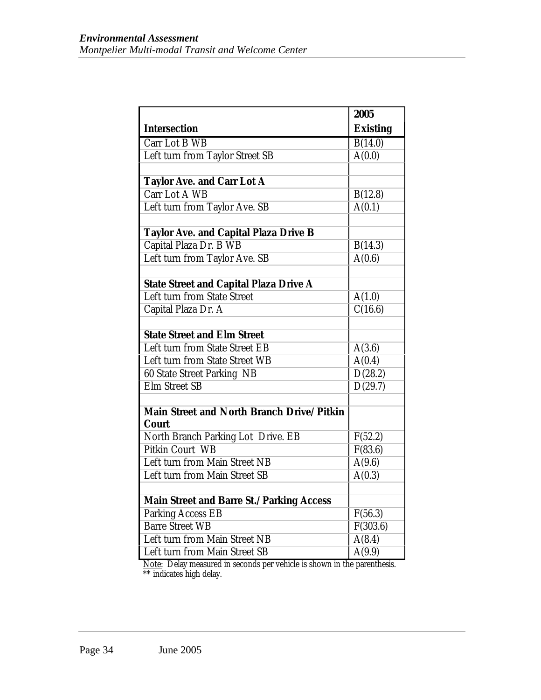|                                                                  | 2005            |
|------------------------------------------------------------------|-----------------|
| <b>Intersection</b>                                              | <b>Existing</b> |
| Carr Lot B WB                                                    | B(14.0)         |
| Left turn from Taylor Street SB                                  | A(0.0)          |
|                                                                  |                 |
| <b>Taylor Ave. and Carr Lot A</b>                                |                 |
| Carr Lot A WB                                                    | B(12.8)         |
| Left turn from Taylor Ave. SB                                    | A(0.1)          |
|                                                                  |                 |
| <b>Taylor Ave. and Capital Plaza Drive B</b>                     |                 |
| Capital Plaza Dr. B WB                                           | B(14.3)         |
| Left turn from Taylor Ave. SB                                    | A(0.6)          |
|                                                                  |                 |
| <b>State Street and Capital Plaza Drive A</b>                    |                 |
| <b>Left turn from State Street</b>                               | A(1.0)          |
| Capital Plaza Dr. A                                              | C(16.6)         |
|                                                                  |                 |
| <b>State Street and Elm Street</b>                               |                 |
| Left turn from State Street EB                                   | A(3.6)          |
| Left turn from State Street WB                                   | A(0.4)          |
| 60 State Street Parking NB                                       | D(28.2)         |
| <b>Elm Street SB</b>                                             | D(29.7)         |
|                                                                  |                 |
| <b>Main Street and North Branch Drive/Pitkin</b><br><b>Court</b> |                 |
| North Branch Parking Lot Drive. EB                               | F(52.2)         |
| <b>Pitkin Court WB</b>                                           | F(83.6)         |
| Left turn from Main Street NB                                    | A(9.6)          |
| Left turn from Main Street SB                                    | A(0.3)          |
|                                                                  |                 |
| <b>Main Street and Barre St./Parking Access</b>                  |                 |
| <b>Parking Access EB</b>                                         | F(56.3)         |
| <b>Barre Street WB</b>                                           | F(303.6)        |
| Left turn from Main Street NB                                    | A(8.4)          |
| Left turn from Main Street SB                                    | A(9.9)          |

Note: Delay measured in seconds per vehicle is shown in the parenthesis. \*\* indicates high delay.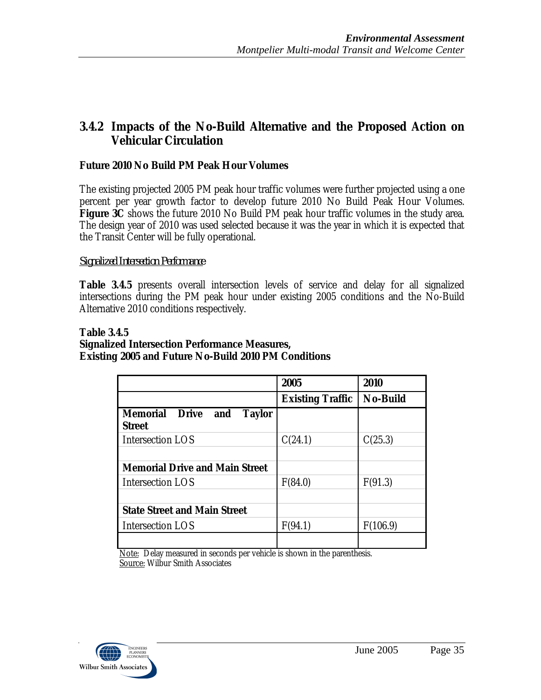# **3.4.2 Impacts of the No-Build Alternative and the Proposed Action on Vehicular Circulation**

### **Future 2010 No Build PM Peak Hour Volumes**

The existing projected 2005 PM peak hour traffic volumes were further projected using a one percent per year growth factor to develop future 2010 No Build Peak Hour Volumes. **Figure 3C** shows the future 2010 No Build PM peak hour traffic volumes in the study area. The design year of 2010 was used selected because it was the year in which it is expected that the Transit Center will be fully operational.

### *Signalized Intersection Performance*

**Table 3.4.5** presents overall intersection levels of service and delay for all signalized intersections during the PM peak hour under existing 2005 conditions and the No-Build Alternative 2010 conditions respectively.

### **Table 3.4.5 Signalized Intersection Performance Measures, Existing 2005 and Future No-Build 2010 PM Conditions**

|                                                                | 2005                    | 2010            |
|----------------------------------------------------------------|-------------------------|-----------------|
|                                                                | <b>Existing Traffic</b> | <b>No-Build</b> |
| <b>Memorial Drive</b><br><b>Taylor</b><br>and<br><b>Street</b> |                         |                 |
| Intersection LOS                                               | C(24.1)                 | C(25.3)         |
|                                                                |                         |                 |
| <b>Memorial Drive and Main Street</b>                          |                         |                 |
| <b>Intersection LOS</b>                                        | F(84.0)                 | F(91.3)         |
|                                                                |                         |                 |
| <b>State Street and Main Street</b>                            |                         |                 |
| <b>Intersection LOS</b>                                        | F(94.1)                 | F(106.9)        |
|                                                                |                         |                 |

Note: Delay measured in seconds per vehicle is shown in the parenthesis. Source: Wilbur Smith Associates

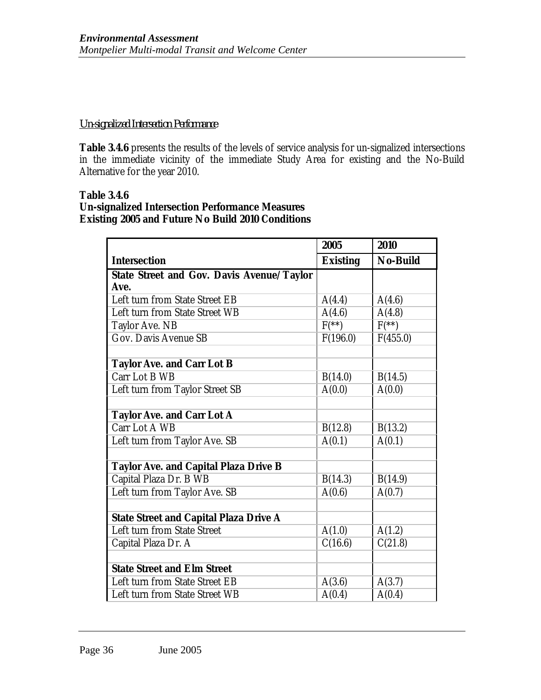### *Un-signalized Intersection Performance*

**Table 3.4.6** presents the results of the levels of service analysis for un-signalized intersections in the immediate vicinity of the immediate Study Area for existing and the No-Build Alternative for the year 2010.

#### **Table 3.4.6 Un-signalized Intersection Performance Measures Existing 2005 and Future No Build 2010 Conditions**

|                                                  | 2005            | 2010            |
|--------------------------------------------------|-----------------|-----------------|
| <b>Intersection</b>                              | <b>Existing</b> | <b>No-Build</b> |
| <b>State Street and Gov. Davis Avenue/Taylor</b> |                 |                 |
| Ave.                                             |                 |                 |
| Left turn from State Street EB                   | A(4.4)          | A(4.6)          |
| Left turn from State Street WB                   | A(4.6)          | A(4.8)          |
| Taylor Ave. NB                                   | $F^{**}$        | $F^{**}$        |
| Gov. Davis Avenue SB                             | F(196.0)        | F(455.0)        |
|                                                  |                 |                 |
| <b>Taylor Ave. and Carr Lot B</b>                |                 |                 |
| Carr Lot B WB                                    | B(14.0)         | B(14.5)         |
| Left turn from Taylor Street SB                  | A(0.0)          | A(0.0)          |
|                                                  |                 |                 |
| <b>Taylor Ave. and Carr Lot A</b>                |                 |                 |
| Carr Lot A WB                                    | B(12.8)         | B(13.2)         |
| Left turn from Taylor Ave. SB                    | A(0.1)          | A(0.1)          |
|                                                  |                 |                 |
| <b>Taylor Ave. and Capital Plaza Drive B</b>     |                 |                 |
| Capital Plaza Dr. B WB                           | B(14.3)         | B(14.9)         |
| Left turn from Taylor Ave. SB                    | A(0.6)          | A(0.7)          |
|                                                  |                 |                 |
| <b>State Street and Capital Plaza Drive A</b>    |                 |                 |
| Left turn from State Street                      | A(1.0)          | A(1.2)          |
| Capital Plaza Dr. A                              | C(16.6)         | C(21.8)         |
|                                                  |                 |                 |
| <b>State Street and Elm Street</b>               |                 |                 |
| Left turn from State Street EB                   | A(3.6)          | A(3.7)          |
| Left turn from State Street WB                   | A(0.4)          | A(0.4)          |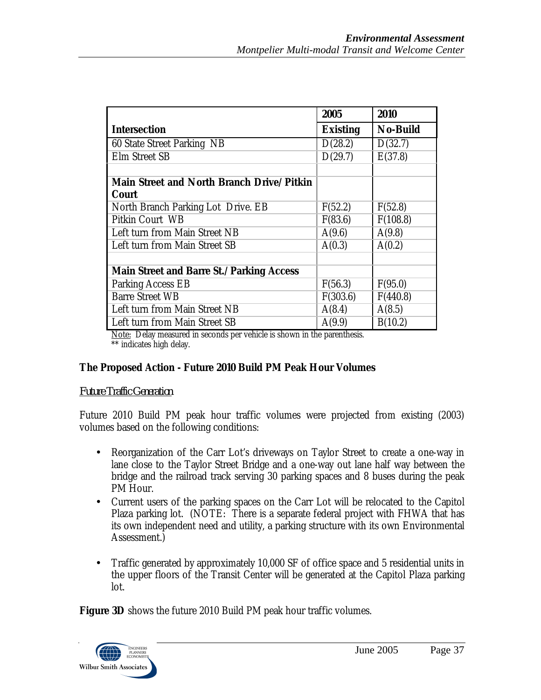|                                                           | 2005            | 2010            |
|-----------------------------------------------------------|-----------------|-----------------|
| <b>Intersection</b>                                       | <b>Existing</b> | <b>No-Build</b> |
| 60 State Street Parking NB                                | D(28.2)         | D(32.7)         |
| Elm Street SB                                             | D(29.7)         | E(37.8)         |
| Main Street and North Branch Drive/Pitkin<br><b>Court</b> |                 |                 |
| North Branch Parking Lot Drive. EB                        | F(52.2)         | F(52.8)         |
| Pitkin Court WB                                           | F(83.6)         | F(108.8)        |
| Left turn from Main Street NB                             | A(9.6)          | A(9.8)          |
| Left turn from Main Street SB                             | A(0.3)          | A(0.2)          |
|                                                           |                 |                 |
| <b>Main Street and Barre St./Parking Access</b>           |                 |                 |
| Parking Access EB                                         | F(56.3)         | F(95.0)         |
| <b>Barre Street WB</b>                                    | F(303.6)        | F(440.8)        |
| Left turn from Main Street NB                             | A(8.4)          | A(8.5)          |
| Left turn from Main Street SB                             | A(9.9)          | B(10.2)         |

Note: Delay measured in seconds per vehicle is shown in the parenthesis. \*\* indicates high delay.

## **The Proposed Action - Future 2010 Build PM Peak Hour Volumes**

### *Future Traffic Generation*

Future 2010 Build PM peak hour traffic volumes were projected from existing (2003) volumes based on the following conditions:

- Reorganization of the Carr Lot's driveways on Taylor Street to create a one-way in lane close to the Taylor Street Bridge and a one-way out lane half way between the bridge and the railroad track serving 30 parking spaces and 8 buses during the peak PM Hour.
- Current users of the parking spaces on the Carr Lot will be relocated to the Capitol Plaza parking lot. (NOTE: There is a separate federal project with FHWA that has its own independent need and utility, a parking structure with its own Environmental Assessment.)
- Traffic generated by approximately 10,000 SF of office space and 5 residential units in the upper floors of the Transit Center will be generated at the Capitol Plaza parking lot.

**Figure 3D** shows the future 2010 Build PM peak hour traffic volumes.

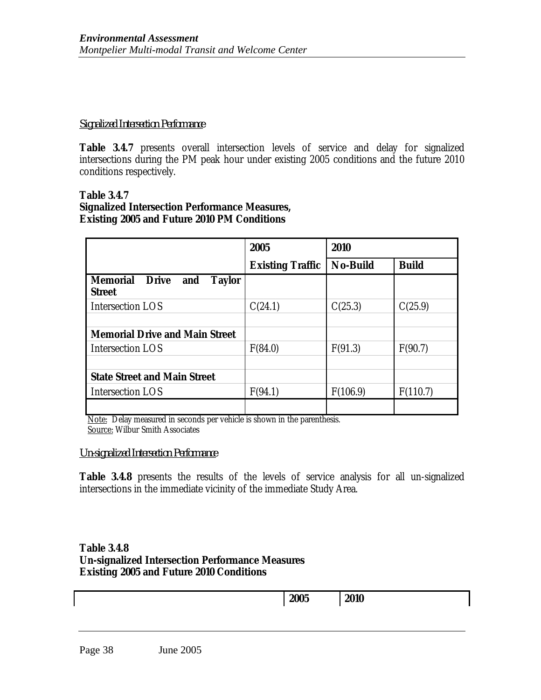#### *Signalized Intersection Performance*

Table 3.4.7 presents overall intersection levels of service and delay for signalized intersections during the PM peak hour under existing 2005 conditions and the future 2010 conditions respectively.

#### **Table 3.4.7 Signalized Intersection Performance Measures, Existing 2005 and Future 2010 PM Conditions**

|                                                                       | 2005                    | 2010            |              |
|-----------------------------------------------------------------------|-------------------------|-----------------|--------------|
|                                                                       | <b>Existing Traffic</b> | <b>No-Build</b> | <b>Build</b> |
| <b>Taylor</b><br><b>Memorial Drive</b><br><i>and</i><br><b>Street</b> |                         |                 |              |
| Intersection LOS                                                      | C(24.1)                 | C(25.3)         | C(25.9)      |
| <b>Memorial Drive and Main Street</b>                                 |                         |                 |              |
| Intersection LOS                                                      | F(84.0)                 | F(91.3)         | F(90.7)      |
| <b>State Street and Main Street</b>                                   |                         |                 |              |
| Intersection LOS                                                      | F(94.1)                 | F(106.9)        | F(110.7)     |
|                                                                       |                         |                 |              |

Note: Delay measured in seconds per vehicle is shown in the parenthesis. Source: Wilbur Smith Associates

#### *Un-signalized Intersection Performance*

Table 3.4.8 presents the results of the levels of service analysis for all un-signalized intersections in the immediate vicinity of the immediate Study Area.

#### **Table 3.4.8 Un-signalized Intersection Performance Measures Existing 2005 and Future 2010 Conditions**

| 2005 | 2010 |
|------|------|
|      |      |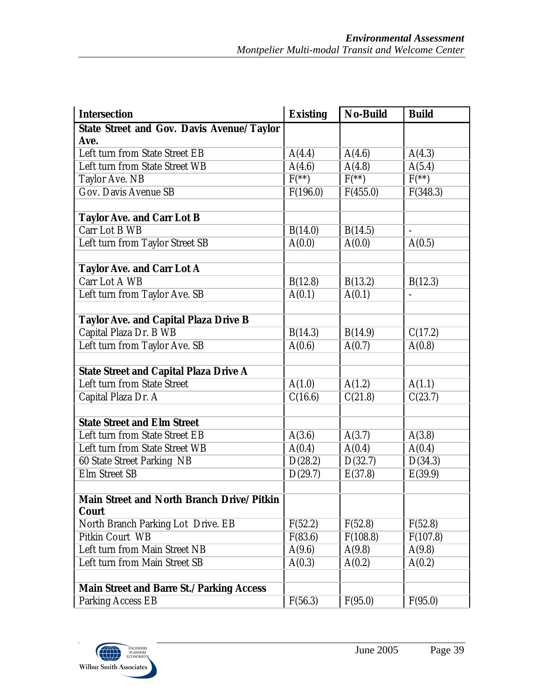| <b>Intersection</b>                                       | <b>Existing</b> | <b>No-Build</b>   | <b>Build</b> |
|-----------------------------------------------------------|-----------------|-------------------|--------------|
| <b>State Street and Gov. Davis Avenue/Taylor</b><br>Ave.  |                 |                   |              |
| Left turn from State Street EB                            | A(4.4)          | A(4.6)            | A(4.3)       |
| Left turn from State Street WB                            | A(4.6)          | A(4.8)            | A(5.4)       |
| Taylor Ave. NB                                            | $F(**)$         | $\overline{F(*)}$ | $F^{**}$     |
| Gov. Davis Avenue SB                                      | F(196.0)        | F(455.0)          | F(348.3)     |
| <b>Taylor Ave. and Carr Lot B</b>                         |                 |                   |              |
| Carr Lot B WB                                             | B(14.0)         | B(14.5)           |              |
| Left turn from Taylor Street SB                           | A(0.0)          | A(0.0)            | A(0.5)       |
|                                                           |                 |                   |              |
| <b>Taylor Ave. and Carr Lot A</b>                         |                 |                   |              |
| Carr Lot A WB                                             | B(12.8)         | B(13.2)           | B(12.3)      |
| Left turn from Taylor Ave. SB                             | A(0.1)          | A(0.1)            |              |
|                                                           |                 |                   |              |
| <b>Taylor Ave. and Capital Plaza Drive B</b>              |                 |                   |              |
| Capital Plaza Dr. B WB                                    | B(14.3)         | B(14.9)           | C(17.2)      |
| Left turn from Taylor Ave. SB                             | A(0.6)          | A(0.7)            | A(0.8)       |
|                                                           |                 |                   |              |
| <b>State Street and Capital Plaza Drive A</b>             |                 |                   |              |
| Left turn from State Street                               | A(1.0)          | A(1.2)            | A(1.1)       |
| Capital Plaza Dr. A                                       | C(16.6)         | C(21.8)           | C(23.7)      |
|                                                           |                 |                   |              |
| <b>State Street and Elm Street</b>                        |                 |                   |              |
| Left turn from State Street EB                            | A(3.6)          | A(3.7)            | A(3.8)       |
| Left turn from State Street WB                            | A(0.4)          | A(0.4)            | A(0.4)       |
| 60 State Street Parking NB                                | D(28.2)         | D(32.7)           | D(34.3)      |
| Elm Street SB                                             | D(29.7)         | E(37.8)           | E(39.9)      |
|                                                           |                 |                   |              |
| Main Street and North Branch Drive/Pitkin<br><b>Court</b> |                 |                   |              |
| North Branch Parking Lot Drive. EB                        | F(52.2)         | F(52.8)           | F(52.8)      |
| Pitkin Court WB                                           | F(83.6)         | F(108.8)          | F(107.8)     |
| Left turn from Main Street NB                             | A(9.6)          | A(9.8)            | A(9.8)       |
| Left turn from Main Street SB                             | A(0.3)          | A(0.2)            | A(0.2)       |
|                                                           |                 |                   |              |
| <b>Main Street and Barre St./Parking Access</b>           |                 |                   |              |
| <b>Parking Access EB</b>                                  | F(56.3)         | F(95.0)           | F(95.0)      |

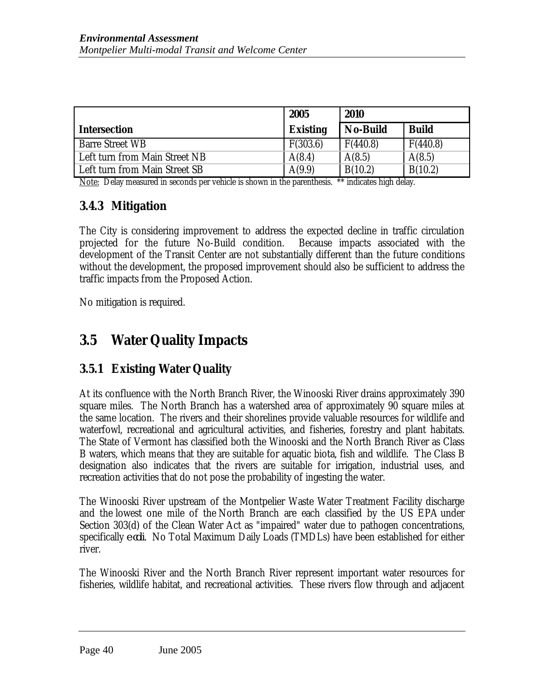|                               | 2005            | 2010            |              |
|-------------------------------|-----------------|-----------------|--------------|
| <b>Intersection</b>           | <b>Existing</b> | <b>No-Build</b> | <b>Build</b> |
| <b>Barre Street WB</b>        | F(303.6)        | F(440.8)        | F(440.8)     |
| Left turn from Main Street NB | A(8.4)          | A(8.5)          | A(8.5)       |
| Left turn from Main Street SB | A(9.9)          | B(10.2)         | B(10.2)      |

Note: Delay measured in seconds per vehicle is shown in the parenthesis. \*\* indicates high delay.

# **3.4.3 Mitigation**

The City is considering improvement to address the expected decline in traffic circulation projected for the future No-Build condition. Because impacts associated with the development of the Transit Center are not substantially different than the future conditions without the development, the proposed improvement should also be sufficient to address the traffic impacts from the Proposed Action.

No mitigation is required.

# **3.5 Water Quality Impacts**

# **3.5.1 Existing Water Quality**

At its confluence with the North Branch River, the Winooski River drains approximately 390 square miles. The North Branch has a watershed area of approximately 90 square miles at the same location. The rivers and their shorelines provide valuable resources for wildlife and waterfowl, recreational and agricultural activities, and fisheries, forestry and plant habitats. The State of Vermont has classified both the Winooski and the North Branch River as Class B waters, which means that they are suitable for aquatic biota, fish and wildlife. The Class B designation also indicates that the rivers are suitable for irrigation, industrial uses, and recreation activities that do not pose the probability of ingesting the water.

The Winooski River upstream of the Montpelier Waste Water Treatment Facility discharge and the lowest one mile of the North Branch are each classified by the US EPA under Section 303(d) of the Clean Water Act as "impaired" water due to pathogen concentrations, specifically *e coli*. No Total Maximum Daily Loads (TMDLs) have been established for either river.

The Winooski River and the North Branch River represent important water resources for fisheries, wildlife habitat, and recreational activities. These rivers flow through and adjacent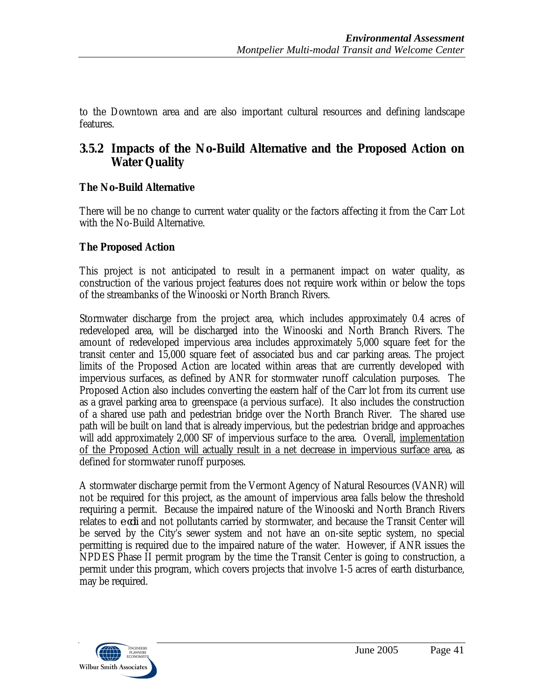to the Downtown area and are also important cultural resources and defining landscape features.

# **3.5.2 Impacts of the No-Build Alternative and the Proposed Action on Water Quality**

## **The No-Build Alternative**

There will be no change to current water quality or the factors affecting it from the Carr Lot with the No-Build Alternative.

## **The Proposed Action**

This project is not anticipated to result in a permanent impact on water quality, as construction of the various project features does not require work within or below the tops of the streambanks of the Winooski or North Branch Rivers.

Stormwater discharge from the project area, which includes approximately 0.4 acres of redeveloped area, will be discharged into the Winooski and North Branch Rivers. The amount of redeveloped impervious area includes approximately 5,000 square feet for the transit center and 15,000 square feet of associated bus and car parking areas. The project limits of the Proposed Action are located within areas that are currently developed with impervious surfaces, as defined by ANR for stormwater runoff calculation purposes. The Proposed Action also includes converting the eastern half of the Carr lot from its current use as a gravel parking area to greenspace (a pervious surface). It also includes the construction of a shared use path and pedestrian bridge over the North Branch River. The shared use path will be built on land that is already impervious, but the pedestrian bridge and approaches will add approximately 2,000 SF of impervious surface to the area. Overall, implementation of the Proposed Action will actually result in a net decrease in impervious surface area, as defined for stormwater runoff purposes.

A stormwater discharge permit from the Vermont Agency of Natural Resources (VANR) will not be required for this project, as the amount of impervious area falls below the threshold requiring a permit. Because the impaired nature of the Winooski and North Branch Rivers relates to *e coli* and not pollutants carried by stormwater, and because the Transit Center will be served by the City's sewer system and not have an on-site septic system, no special permitting is required due to the impaired nature of the water. However, if ANR issues the NPDES Phase II permit program by the time the Transit Center is going to construction, a permit under this program, which covers projects that involve 1-5 acres of earth disturbance, may be required.

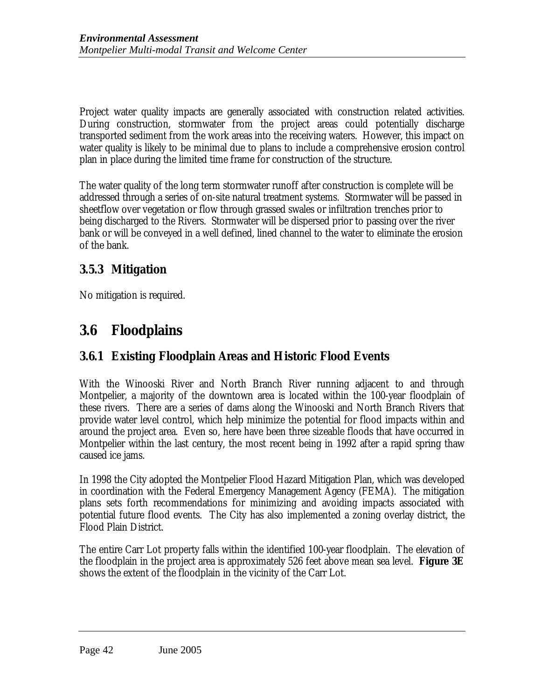Project water quality impacts are generally associated with construction related activities. During construction, stormwater from the project areas could potentially discharge transported sediment from the work areas into the receiving waters. However, this impact on water quality is likely to be minimal due to plans to include a comprehensive erosion control plan in place during the limited time frame for construction of the structure.

The water quality of the long term stormwater runoff after construction is complete will be addressed through a series of on-site natural treatment systems. Stormwater will be passed in sheetflow over vegetation or flow through grassed swales or infiltration trenches prior to being discharged to the Rivers. Stormwater will be dispersed prior to passing over the river bank or will be conveyed in a well defined, lined channel to the water to eliminate the erosion of the bank.

# **3.5.3 Mitigation**

No mitigation is required.

# **3.6 Floodplains**

# **3.6.1 Existing Floodplain Areas and Historic Flood Events**

With the Winooski River and North Branch River running adjacent to and through Montpelier, a majority of the downtown area is located within the 100-year floodplain of these rivers. There are a series of dams along the Winooski and North Branch Rivers that provide water level control, which help minimize the potential for flood impacts within and around the project area. Even so, here have been three sizeable floods that have occurred in Montpelier within the last century, the most recent being in 1992 after a rapid spring thaw caused ice jams.

In 1998 the City adopted the Montpelier Flood Hazard Mitigation Plan, which was developed in coordination with the Federal Emergency Management Agency (FEMA). The mitigation plans sets forth recommendations for minimizing and avoiding impacts associated with potential future flood events. The City has also implemented a zoning overlay district, the Flood Plain District.

The entire Carr Lot property falls within the identified 100-year floodplain. The elevation of the floodplain in the project area is approximately 526 feet above mean sea level. **Figure 3E** shows the extent of the floodplain in the vicinity of the Carr Lot.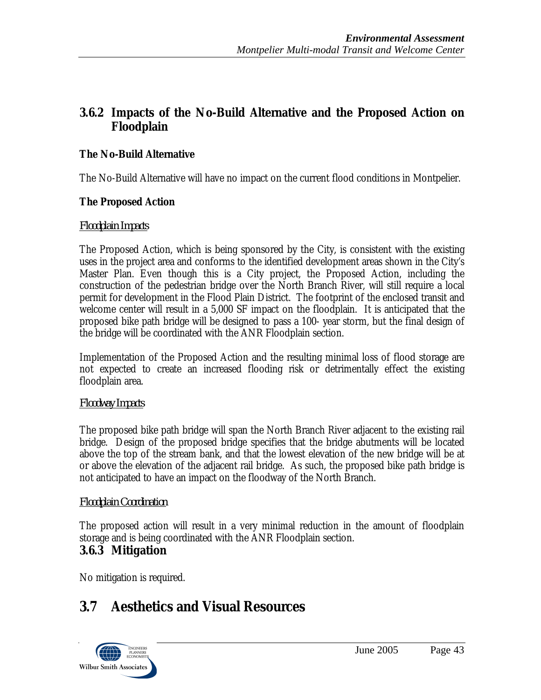# **3.6.2 Impacts of the No-Build Alternative and the Proposed Action on Floodplain**

## **The No-Build Alternative**

The No-Build Alternative will have no impact on the current flood conditions in Montpelier.

## **The Proposed Action**

### *Floodplain Impacts*

The Proposed Action, which is being sponsored by the City, is consistent with the existing uses in the project area and conforms to the identified development areas shown in the City's Master Plan. Even though this is a City project, the Proposed Action, including the construction of the pedestrian bridge over the North Branch River, will still require a local permit for development in the Flood Plain District. The footprint of the enclosed transit and welcome center will result in a 5,000 SF impact on the floodplain. It is anticipated that the proposed bike path bridge will be designed to pass a 100- year storm, but the final design of the bridge will be coordinated with the ANR Floodplain section.

Implementation of the Proposed Action and the resulting minimal loss of flood storage are not expected to create an increased flooding risk or detrimentally effect the existing floodplain area.

## *Floodway Impacts*

The proposed bike path bridge will span the North Branch River adjacent to the existing rail bridge. Design of the proposed bridge specifies that the bridge abutments will be located above the top of the stream bank, and that the lowest elevation of the new bridge will be at or above the elevation of the adjacent rail bridge. As such, the proposed bike path bridge is not anticipated to have an impact on the floodway of the North Branch.

## *Floodplain Coordination*

The proposed action will result in a very minimal reduction in the amount of floodplain storage and is being coordinated with the ANR Floodplain section.

# **3.6.3 Mitigation**

No mitigation is required.

# **3.7 Aesthetics and Visual Resources**

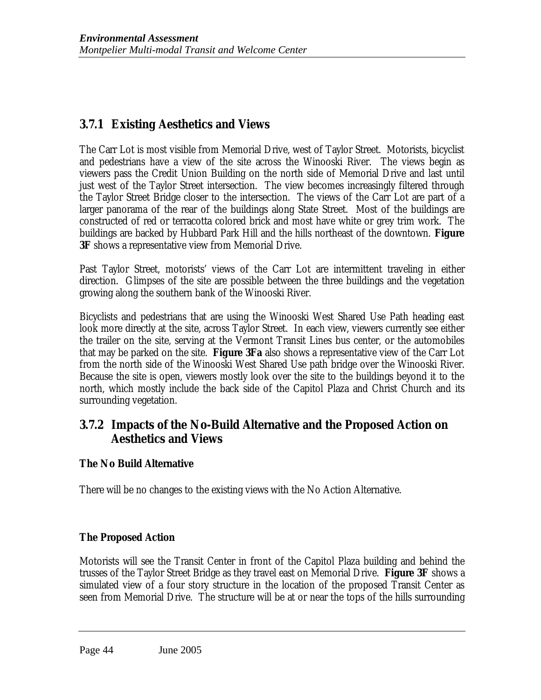# **3.7.1 Existing Aesthetics and Views**

The Carr Lot is most visible from Memorial Drive, west of Taylor Street. Motorists, bicyclist and pedestrians have a view of the site across the Winooski River. The views begin as viewers pass the Credit Union Building on the north side of Memorial Drive and last until just west of the Taylor Street intersection. The view becomes increasingly filtered through the Taylor Street Bridge closer to the intersection. The views of the Carr Lot are part of a larger panorama of the rear of the buildings along State Street. Most of the buildings are constructed of red or terracotta colored brick and most have white or grey trim work. The buildings are backed by Hubbard Park Hill and the hills northeast of the downtown. **Figure 3F** shows a representative view from Memorial Drive.

Past Taylor Street, motorists' views of the Carr Lot are intermittent traveling in either direction. Glimpses of the site are possible between the three buildings and the vegetation growing along the southern bank of the Winooski River.

Bicyclists and pedestrians that are using the Winooski West Shared Use Path heading east look more directly at the site, across Taylor Street. In each view, viewers currently see either the trailer on the site, serving at the Vermont Transit Lines bus center, or the automobiles that may be parked on the site. **Figure 3Fa** also shows a representative view of the Carr Lot from the north side of the Winooski West Shared Use path bridge over the Winooski River. Because the site is open, viewers mostly look over the site to the buildings beyond it to the north, which mostly include the back side of the Capitol Plaza and Christ Church and its surrounding vegetation.

## **3.7.2 Impacts of the No-Build Alternative and the Proposed Action on Aesthetics and Views**

## **The No Build Alternative**

There will be no changes to the existing views with the No Action Alternative.

### **The Proposed Action**

Motorists will see the Transit Center in front of the Capitol Plaza building and behind the trusses of the Taylor Street Bridge as they travel east on Memorial Drive. **Figure 3F** shows a simulated view of a four story structure in the location of the proposed Transit Center as seen from Memorial Drive. The structure will be at or near the tops of the hills surrounding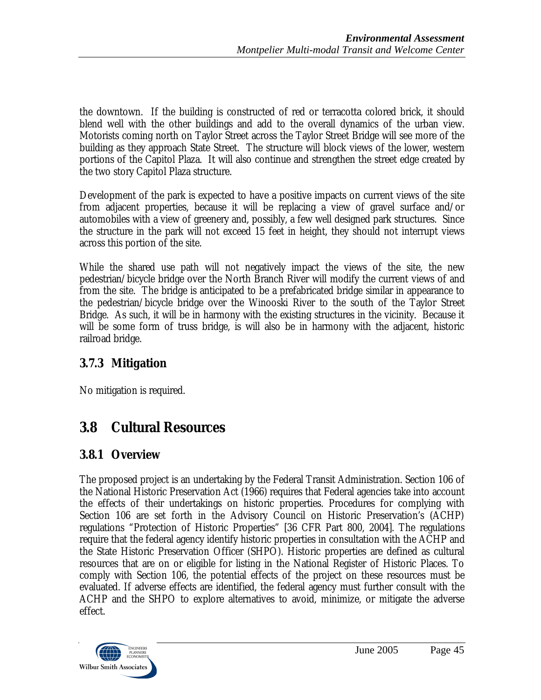the downtown. If the building is constructed of red or terracotta colored brick, it should blend well with the other buildings and add to the overall dynamics of the urban view. Motorists coming north on Taylor Street across the Taylor Street Bridge will see more of the building as they approach State Street. The structure will block views of the lower, western portions of the Capitol Plaza. It will also continue and strengthen the street edge created by the two story Capitol Plaza structure.

Development of the park is expected to have a positive impacts on current views of the site from adjacent properties, because it will be replacing a view of gravel surface and/or automobiles with a view of greenery and, possibly, a few well designed park structures. Since the structure in the park will not exceed 15 feet in height, they should not interrupt views across this portion of the site.

While the shared use path will not negatively impact the views of the site, the new pedestrian/bicycle bridge over the North Branch River will modify the current views of and from the site. The bridge is anticipated to be a prefabricated bridge similar in appearance to the pedestrian/bicycle bridge over the Winooski River to the south of the Taylor Street Bridge. As such, it will be in harmony with the existing structures in the vicinity. Because it will be some form of truss bridge, is will also be in harmony with the adjacent, historic railroad bridge.

# **3.7.3 Mitigation**

No mitigation is required.

# **3.8 Cultural Resources**

# **3.8.1 Overview**

The proposed project is an undertaking by the Federal Transit Administration. Section 106 of the National Historic Preservation Act (1966) requires that Federal agencies take into account the effects of their undertakings on historic properties. Procedures for complying with Section 106 are set forth in the Advisory Council on Historic Preservation's (ACHP) regulations "Protection of Historic Properties" [36 CFR Part 800, 2004]. The regulations require that the federal agency identify historic properties in consultation with the ACHP and the State Historic Preservation Officer (SHPO). Historic properties are defined as cultural resources that are on or eligible for listing in the National Register of Historic Places. To comply with Section 106, the potential effects of the project on these resources must be evaluated. If adverse effects are identified, the federal agency must further consult with the ACHP and the SHPO to explore alternatives to avoid, minimize, or mitigate the adverse effect.

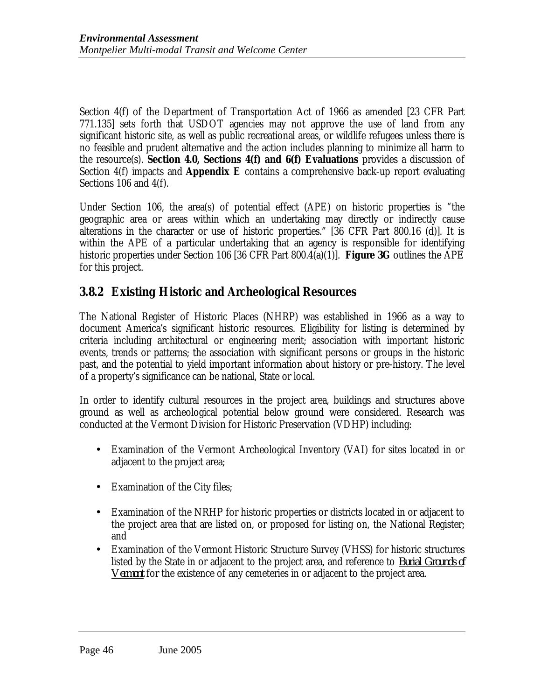Section 4(f) of the Department of Transportation Act of 1966 as amended [23 CFR Part 771.135] sets forth that USDOT agencies may not approve the use of land from any significant historic site, as well as public recreational areas, or wildlife refugees unless there is no feasible and prudent alternative and the action includes planning to minimize all harm to the resource(s). **Section 4.0, Sections 4(f) and 6(f) Evaluations** provides a discussion of Section 4(f) impacts and **Appendix E** contains a comprehensive back-up report evaluating Sections 106 and 4(f).

Under Section 106, the area(s) of potential effect (APE) on historic properties is "the geographic area or areas within which an undertaking may directly or indirectly cause alterations in the character or use of historic properties." [36 CFR Part 800.16 (d)]. It is within the APE of a particular undertaking that an agency is responsible for identifying historic properties under Section 106 [36 CFR Part 800.4(a)(1)]. **Figure 3G** outlines the APE for this project.

## **3.8.2 Existing Historic and Archeological Resources**

The National Register of Historic Places (NHRP) was established in 1966 as a way to document America's significant historic resources. Eligibility for listing is determined by criteria including architectural or engineering merit; association with important historic events, trends or patterns; the association with significant persons or groups in the historic past, and the potential to yield important information about history or pre-history. The level of a property's significance can be national, State or local.

In order to identify cultural resources in the project area, buildings and structures above ground as well as archeological potential below ground were considered. Research was conducted at the Vermont Division for Historic Preservation (VDHP) including:

- Examination of the Vermont Archeological Inventory (VAI) for sites located in or adjacent to the project area;
- Examination of the City files;
- Examination of the NRHP for historic properties or districts located in or adjacent to the project area that are listed on, or proposed for listing on, the National Register; and
- Examination of the Vermont Historic Structure Survey (VHSS) for historic structures listed by the State in or adjacent to the project area, and reference to *Burial Grounds of Vermont* for the existence of any cemeteries in or adjacent to the project area.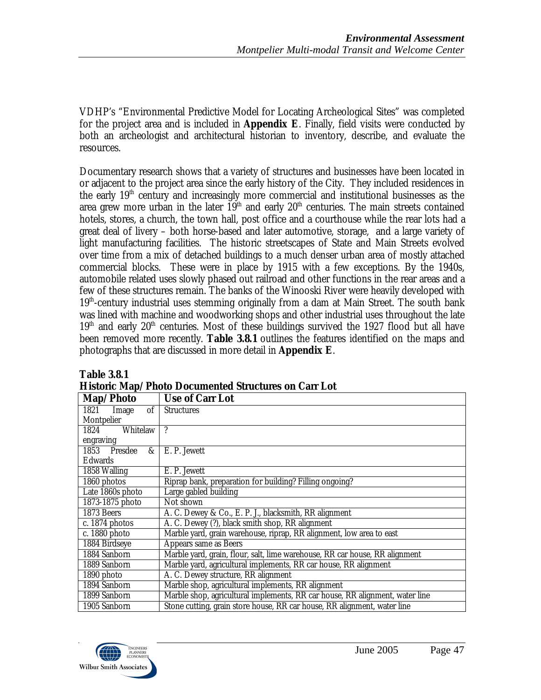VDHP's "Environmental Predictive Model for Locating Archeological Sites" was completed for the project area and is included in **Appendix E**. Finally, field visits were conducted by both an archeologist and architectural historian to inventory, describe, and evaluate the resources.

Documentary research shows that a variety of structures and businesses have been located in or adjacent to the project area since the early history of the City. They included residences in the early 19th century and increasingly more commercial and institutional businesses as the area grew more urban in the later  $19<sup>th</sup>$  and early  $20<sup>th</sup>$  centuries. The main streets contained hotels, stores, a church, the town hall, post office and a courthouse while the rear lots had a great deal of livery – both horse-based and later automotive, storage, and a large variety of light manufacturing facilities. The historic streetscapes of State and Main Streets evolved over time from a mix of detached buildings to a much denser urban area of mostly attached commercial blocks. These were in place by 1915 with a few exceptions. By the 1940s, automobile related uses slowly phased out railroad and other functions in the rear areas and a few of these structures remain. The banks of the Winooski River were heavily developed with 19th-century industrial uses stemming originally from a dam at Main Street. The south bank was lined with machine and woodworking shops and other industrial uses throughout the late  $19<sup>th</sup>$  and early  $20<sup>th</sup>$  centuries. Most of these buildings survived the 1927 flood but all have been removed more recently. **Table 3.8.1** outlines the features identified on the maps and photographs that are discussed in more detail in **Appendix E**.

| Map/Photo                 | <b>Use of Carr Lot</b>                                                       |
|---------------------------|------------------------------------------------------------------------------|
| $\sigma$<br>1821<br>Image | <b>Structures</b>                                                            |
| Montpelier                |                                                                              |
| Whitelaw<br>1824          | $\boldsymbol{\eta}$                                                          |
| engraving                 |                                                                              |
| 1853 Presdee<br>&         | E. P. Jewett                                                                 |
| Edwards                   |                                                                              |
| 1858 Walling              | E. P. Jewett                                                                 |
| 1860 photos               | Riprap bank, preparation for building? Filling ongoing?                      |
| Late 1860s photo          | Large gabled building                                                        |
| 1873-1875 photo           | Not shown                                                                    |
| 1873 Beers                | A. C. Dewey & Co., E. P. J., blacksmith, RR alignment                        |
| c. 1874 photos            | A. C. Dewey (?), black smith shop, RR alignment                              |
| c. 1880 photo             | Marble yard, grain warehouse, riprap, RR alignment, low area to east         |
| 1884 Birdseye             | Appears same as Beers                                                        |
| 1884 Sanborn              | Marble yard, grain, flour, salt, lime warehouse, RR car house, RR alignment  |
| 1889 Sanborn              | Marble yard, agricultural implements, RR car house, RR alignment             |
| 1890 photo                | A. C. Dewey structure, RR alignment                                          |
| 1894 Sanborn              | Marble shop, agricultural implements, RR alignment                           |
| 1899 Sanborn              | Marble shop, agricultural implements, RR car house, RR alignment, water line |
| 1905 Sanborn              | Stone cutting, grain store house, RR car house, RR alignment, water line     |

### **Table 3.8.1 Historic Map/Photo Documented Structures on Carr Lot**

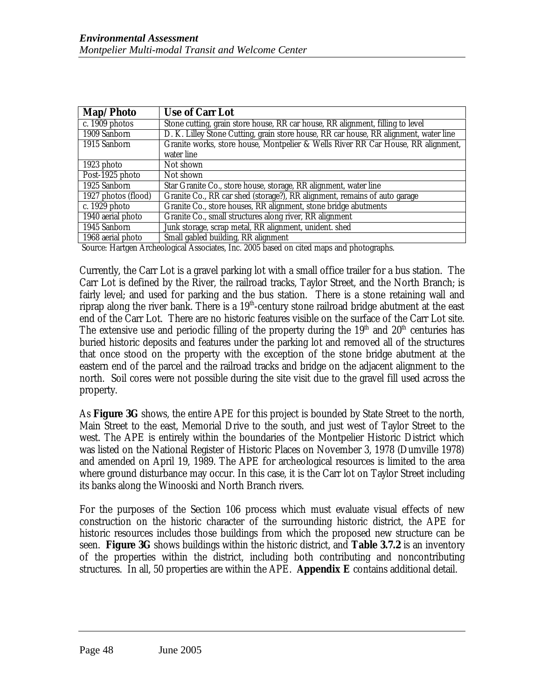| Map/Photo           | <b>Use of Carr Lot</b>                                                                |
|---------------------|---------------------------------------------------------------------------------------|
| c. 1909 photos      | Stone cutting, grain store house, RR car house, RR alignment, filling to level        |
| 1909 Sanborn        | D. K. Lilley Stone Cutting, grain store house, RR car house, RR alignment, water line |
| 1915 Sanborn        | Granite works, store house, Montpelier & Wells River RR Car House, RR alignment,      |
|                     | water line                                                                            |
| 1923 photo          | Not shown                                                                             |
| Post-1925 photo     | Not shown                                                                             |
| 1925 Sanborn        | Star Granite Co., store house, storage, RR alignment, water line                      |
| 1927 photos (flood) | Granite Co., RR car shed (storage?), RR alignment, remains of auto garage             |
| c. 1929 photo       | Granite Co., store houses, RR alignment, stone bridge abutments                       |
| 1940 aerial photo   | Granite Co., small structures along river, RR alignment                               |
| 1945 Sanborn        | Junk storage, scrap metal, RR alignment, unident. shed                                |
| 1968 aerial photo   | Small gabled building, RR alignment                                                   |

Source: Hartgen Archeological Associates, Inc. 2005 based on cited maps and photographs.

Currently, the Carr Lot is a gravel parking lot with a small office trailer for a bus station. The Carr Lot is defined by the River, the railroad tracks, Taylor Street, and the North Branch; is fairly level; and used for parking and the bus station. There is a stone retaining wall and riprap along the river bank. There is a  $19<sup>th</sup>$ -century stone railroad bridge abutment at the east end of the Carr Lot. There are no historic features visible on the surface of the Carr Lot site. The extensive use and periodic filling of the property during the  $19<sup>th</sup>$  and  $20<sup>th</sup>$  centuries has buried historic deposits and features under the parking lot and removed all of the structures that once stood on the property with the exception of the stone bridge abutment at the eastern end of the parcel and the railroad tracks and bridge on the adjacent alignment to the north. Soil cores were not possible during the site visit due to the gravel fill used across the property.

As **Figure 3G** shows, the entire APE for this project is bounded by State Street to the north, Main Street to the east, Memorial Drive to the south, and just west of Taylor Street to the west. The APE is entirely within the boundaries of the Montpelier Historic District which was listed on the National Register of Historic Places on November 3, 1978 (Dumville 1978) and amended on April 19, 1989. The APE for archeological resources is limited to the area where ground disturbance may occur. In this case, it is the Carr lot on Taylor Street including its banks along the Winooski and North Branch rivers.

For the purposes of the Section 106 process which must evaluate visual effects of new construction on the historic character of the surrounding historic district, the APE for historic resources includes those buildings from which the proposed new structure can be seen. **Figure 3G** shows buildings within the historic district, and **Table 3.7.2** is an inventory of the properties within the district, including both contributing and noncontributing structures. In all, 50 properties are within the APE. **Appendix E** contains additional detail.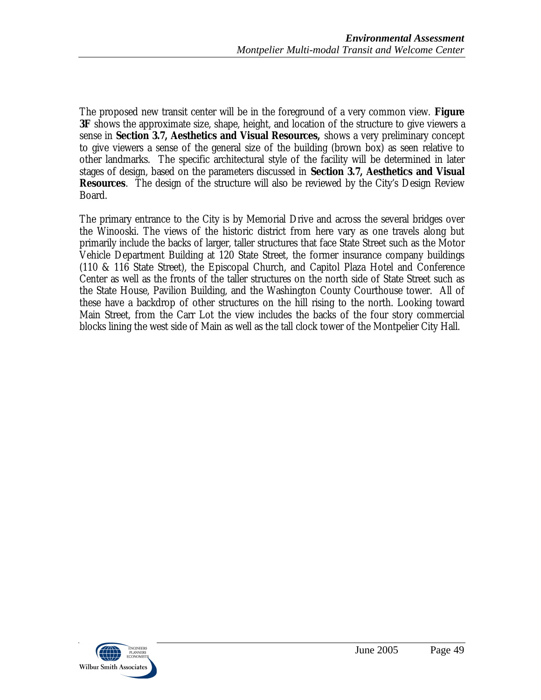The proposed new transit center will be in the foreground of a very common view. **Figure 3F** shows the approximate size, shape, height, and location of the structure to give viewers a sense in **Section 3.7, Aesthetics and Visual Resources,** shows a very preliminary concept to give viewers a sense of the general size of the building (brown box) as seen relative to other landmarks. The specific architectural style of the facility will be determined in later stages of design, based on the parameters discussed in **Section 3.7, Aesthetics and Visual Resources**. The design of the structure will also be reviewed by the City's Design Review Board.

The primary entrance to the City is by Memorial Drive and across the several bridges over the Winooski. The views of the historic district from here vary as one travels along but primarily include the backs of larger, taller structures that face State Street such as the Motor Vehicle Department Building at 120 State Street, the former insurance company buildings (110 & 116 State Street), the Episcopal Church, and Capitol Plaza Hotel and Conference Center as well as the fronts of the taller structures on the north side of State Street such as the State House, Pavilion Building, and the Washington County Courthouse tower. All of these have a backdrop of other structures on the hill rising to the north. Looking toward Main Street, from the Carr Lot the view includes the backs of the four story commercial blocks lining the west side of Main as well as the tall clock tower of the Montpelier City Hall.

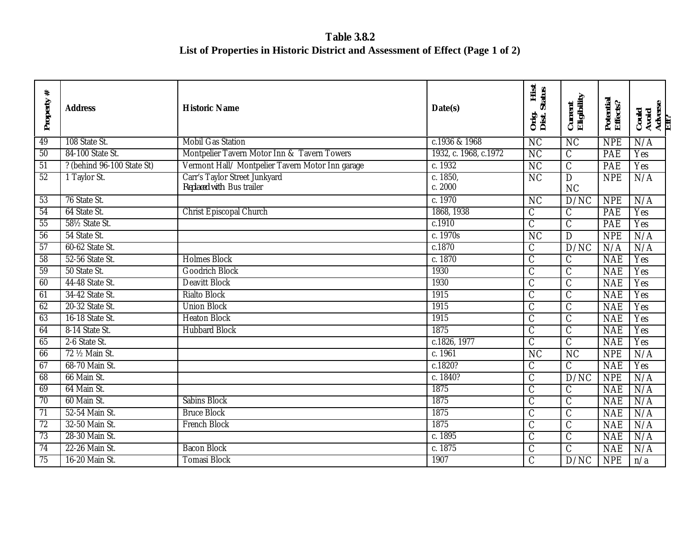**Table 3.8.2 List of Properties in Historic District and Assessment of Effect (Page 1 of 2)**

| $\ast$<br>Property | <b>Address</b>             | <b>Historic Name</b>                                       | Date(s)               | Hist<br><b>Status</b><br>Orig.<br>Dist. | Current<br>Eligibility           | Potential<br>Effects? | Could<br>Avoid<br>Adverse<br>Eff? |
|--------------------|----------------------------|------------------------------------------------------------|-----------------------|-----------------------------------------|----------------------------------|-----------------------|-----------------------------------|
| 49                 | 108 State St.              | <b>Mobil Gas Station</b>                                   | c.1936 & 1968         | $\overline{\text{NC}}$                  | $\overline{\text{NC}}$           | <b>NPE</b>            | N/A                               |
| 50                 | 84-100 State St.           | Montpelier Tavern Motor Inn & Tavern Towers                | 1932, c. 1968, c.1972 | $\overline{\text{NC}}$                  | $\mathsf C$                      | PAE                   | Yes                               |
| $\overline{51}$    | ? (behind 96-100 State St) | Vermont Hall/ Montpelier Tavern Motor Inn garage           | c. 1932               | $\overline{\text{NC}}$                  | $\overline{C}$                   | PAE                   | Yes                               |
| $\overline{52}$    | 1 Taylor St.               | Carr's Taylor Street Junkyard<br>Replaced with Bus trailer | c. 1850,<br>c. 2000   | $\overline{\text{NC}}$                  | $\overline{D}$<br>N <sub>C</sub> | <b>NPE</b>            | N/A                               |
| 53                 | 76 State St.               |                                                            | c. 1970               | $\overline{\text{NC}}$                  | D/NC                             | <b>NPE</b>            | N/A                               |
| 54                 | 64 State St.               | <b>Christ Episcopal Church</b>                             | 1868, 1938            | $\overline{C}$                          | $\overline{C}$                   | PAE                   | Yes                               |
| 55                 | 581/2 State St.            |                                                            | c.1910                | $\overline{C}$                          | $\mathcal{C}$                    | <b>PAE</b>            | Yes                               |
| 56                 | 54 State St.               |                                                            | c. 1970s              | $\overline{\text{NC}}$                  | $\overline{D}$                   | <b>NPE</b>            | N/A                               |
| 57                 | 60-62 State St.            |                                                            | c.1870                | $\overline{C}$                          | D/NC                             | N/A                   | N/A                               |
| 58                 | 52-56 State St.            | <b>Holmes Block</b>                                        | c. 1870               | $\overline{C}$                          | $\overline{C}$                   | <b>NAE</b>            | Yes                               |
| 59                 | 50 State St.               | <b>Goodrich Block</b>                                      | 1930                  | $\overline{C}$                          | $\overline{C}$                   | <b>NAE</b>            | Yes                               |
| 60                 | 44-48 State St.            | <b>Deavitt Block</b>                                       | 1930                  | $\overline{C}$                          | $\overline{C}$                   | <b>NAE</b>            | Yes                               |
| 61                 | 34-42 State St.            | <b>Rialto Block</b>                                        | 1915                  | $\overline{\mathsf{C}}$                 | $\overline{\mathcal{C}}$         | <b>NAE</b>            | Yes                               |
| 62                 | 20-32 State St.            | <b>Union Block</b>                                         | 1915                  | $\overline{\mathsf{C}}$                 | $\overline{C}$                   | <b>NAE</b>            | Yes                               |
| 63                 | 16-18 State St.            | <b>Heaton Block</b>                                        | 1915                  | $\overline{C}$                          | $\overline{C}$                   | <b>NAE</b>            | Yes                               |
| 64                 | 8-14 State St.             | <b>Hubbard Block</b>                                       | 1875                  | $\overline{C}$                          | $\overline{C}$                   | <b>NAE</b>            | Yes                               |
| 65                 | 2-6 State St.              |                                                            | c.1826, 1977          | $\overline{C}$                          | $\overline{\mathsf{C}}$          | <b>NAE</b>            | Yes                               |
| 66                 | 72 1/2 Main St.            |                                                            | c.1961                | $\overline{\text{NC}}$                  | $\overline{\text{NC}}$           | <b>NPE</b>            | N/A                               |
| 67                 | 68-70 Main St.             |                                                            | c.1820?               | $\mathcal{C}$                           | $\mathcal{C}$                    | <b>NAE</b>            | Yes                               |
| 68                 | 66 Main St.                |                                                            | c. 1840?              | $\overline{C}$                          | D/NC                             | <b>NPE</b>            | N/A                               |
| 69                 | 64 Main St.                |                                                            | 1875                  | $\overline{C}$                          | $\overline{C}$                   | <b>NAE</b>            | N/A                               |
| $\overline{70}$    | 60 Main St.                | <b>Sabins Block</b>                                        | 1875                  | $\overline{C}$                          | $\mathcal{C}$                    | <b>NAE</b>            | N/A                               |
| $\overline{71}$    | 52-54 Main St.             | <b>Bruce Block</b>                                         | 1875                  | $\overline{C}$                          | $\overline{C}$                   | <b>NAE</b>            | N/A                               |
| 72                 | 32-50 Main St.             | <b>French Block</b>                                        | 1875                  | $\overline{\mathsf{C}}$                 | $\overline{C}$                   | <b>NAE</b>            | N/A                               |
| $\overline{73}$    | 28-30 Main St.             |                                                            | c. 1895               | $\overline{C}$                          | $\overline{C}$                   | <b>NAE</b>            | N/A                               |
| 74                 | 22-26 Main St.             | <b>Bacon Block</b>                                         | c. $1875$             | $\overline{C}$                          | $\overline{\text{C}}$            | <b>NAE</b>            | N/A                               |
| 75                 | 16-20 Main St.             | <b>Tomasi Block</b>                                        | 1907                  | $\overline{\mathsf{C}}$                 | D/NC                             | <b>NPE</b>            | n/a                               |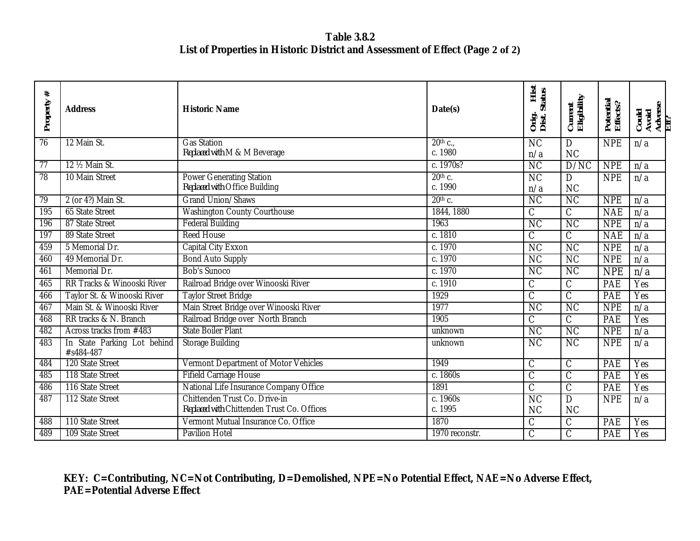**Table 3.8.2 List of Properties in Historic District and Assessment of Effect (Page 2 of 2)**

| #<br>Property   | <b>Address</b>                           | <b>Historic Name</b>                                                        | Date(s)               | Hist<br><b>Status</b><br>Orig.<br>Dist.  | Current<br>Eligibility           | Potential<br>Effects? | Could<br>Avoid<br>Adverse<br>Eff? |
|-----------------|------------------------------------------|-----------------------------------------------------------------------------|-----------------------|------------------------------------------|----------------------------------|-----------------------|-----------------------------------|
| 76              | 12 Main St.                              | <b>Gas Station</b><br>Replaced with M & M Beverage                          | $20th$ c.,<br>c. 1980 | $\overline{\text{NC}}$<br>n/a            | D<br>N <sub>C</sub>              | <b>NPE</b>            | n/a                               |
| $\overline{77}$ | 12 1/2 Main St.                          |                                                                             | c. 1970s?             | <b>NC</b>                                | D/NC                             | <b>NPE</b>            | n/a                               |
| 78              | 10 Main Street                           | <b>Power Generating Station</b><br>Replaced with Office Building            | $20th$ c.<br>c. 1990  | N <sub>C</sub><br>n/a                    | $\mathbf D$<br>N <sub>C</sub>    | <b>NPE</b>            | n/a                               |
| 79              | 2 (or 4?) Main St.                       | Grand Union/Shaws                                                           | $20th$ c.             | $\overline{\text{NC}}$                   | NC                               | <b>NPE</b>            | n/a                               |
| 195             | <b>65 State Street</b>                   | <b>Washington County Courthouse</b>                                         | 1844, 1880            | $\mathcal{C}$                            | $\mathcal{C}$                    | <b>NAE</b>            | n/a                               |
| 196             | 87 State Street                          | <b>Federal Building</b>                                                     | 1963                  | <b>NC</b>                                | N <sub>C</sub>                   | <b>NPE</b>            | n/a                               |
| 197             | 89 State Street                          | <b>Reed House</b>                                                           | c. 1810               | $\mathcal C$                             | $\mathcal{C}$                    | <b>NAE</b>            | n/a                               |
| 459             | 5 Memorial Dr.                           | Capital City Exxon                                                          | c. 1970               | $\overline{\text{NC}}$                   | $\overline{\text{NC}}$           | <b>NPE</b>            | n/a                               |
| 460             | 49 Memorial Dr.                          | <b>Bond Auto Supply</b>                                                     | c. 1970               | N <sub>C</sub>                           | N <sub>C</sub>                   | <b>NPE</b>            | n/a                               |
| 461             | Memorial Dr.                             | <b>Bob's Sunoco</b>                                                         | c. 1970               | $\overline{\text{NC}}$                   | $\overline{\text{NC}}$           | <b>NPE</b>            | n/a                               |
| 465             | RR Tracks & Winooski River               | Railroad Bridge over Winooski River                                         | c. 1910               | $\mathcal{C}$                            | $\mathcal{C}$                    | PAE                   | Yes                               |
| 466             | Taylor St. & Winooski River              | <b>Taylor Street Bridge</b>                                                 | 1929                  | $\overline{\mathsf{C}}$                  | $\overline{\text{C}}$            | PAE                   | Yes                               |
| 467             | Main St. & Winooski River                | Main Street Bridge over Winooski River                                      | 1977                  | $\overline{\text{NC}}$                   | $\overline{\text{NC}}$           | <b>NPE</b>            | n/a                               |
| 468             | RR tracks & N. Branch                    | Railroad Bridge over North Branch                                           | 1905                  | $\mathcal{C}$                            | $\mathcal{C}$                    | PAE                   | Yes                               |
| 482             | Across tracks from #483                  | <b>State Boiler Plant</b>                                                   | unknown               | N <sub>C</sub>                           | N <sub>C</sub>                   | <b>NPE</b>            | n/a                               |
| 483             | In State Parking Lot behind<br>#s484-487 | <b>Storage Building</b>                                                     | unknown               | $\overline{\text{NC}}$                   | N <sub>C</sub>                   | <b>NPE</b>            | n/a                               |
| 484             | 120 State Street                         | Vermont Department of Motor Vehicles                                        | 1949                  | $\overline{\mathsf{C}}$                  | $\overline{\mathsf{C}}$          | PAE                   | Yes                               |
| 485             | 118 State Street                         | <b>Fifield Carriage House</b>                                               | c. 1860s              | $\overline{\mathcal{C}}$                 | $\overline{C}$                   | PAE                   | Yes                               |
| 486             | 116 State Street                         | National Life Insurance Company Office                                      | 1891                  | $\overline{\mathsf{C}}$                  | $\overline{\text{C}}$            | PAE                   | Yes                               |
| 487             | 112 State Street                         | Chittenden Trust Co. Drive-in<br>Replaced with Chittenden Trust Co. Offices | c. $1960s$<br>c. 1995 | $\overline{\text{NC}}$<br>N <sub>C</sub> | $\overline{D}$<br>N <sub>C</sub> | <b>NPE</b>            | n/a                               |
| 488             | 110 State Street                         | Vermont Mutual Insurance Co. Office                                         | 1870                  | $\overline{C}$                           | $\overline{\text{C}}$            | <b>PAE</b>            | Yes                               |
| 489             | <b>109 State Street</b>                  | <b>Pavilion Hotel</b>                                                       | 1970 reconstr.        | $\overline{\mathsf{C}}$                  | $\overline{C}$                   | <b>PAE</b>            | Yes                               |

## *KEY: C=Contributing, NC=Not Contributing, D=Demolished, NPE=No Potential Effect, NAE=No Adverse Effect, PAE=Potential Adverse Effect*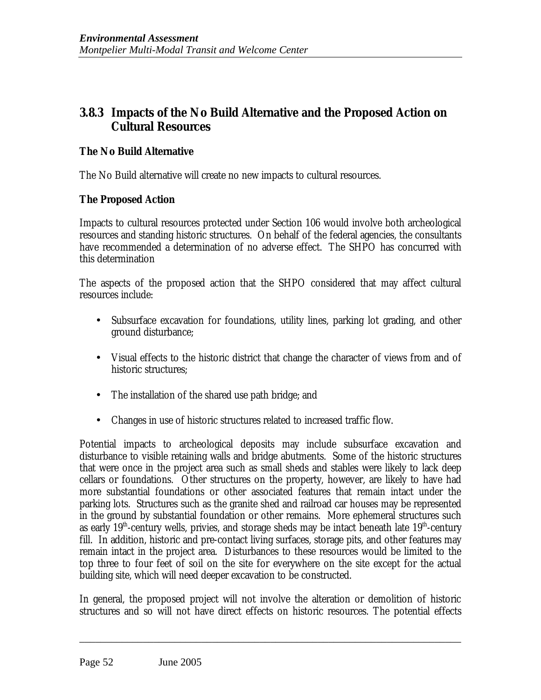## **3.8.3 Impacts of the No Build Alternative and the Proposed Action on Cultural Resources**

### **The No Build Alternative**

The No Build alternative will create no new impacts to cultural resources.

## **The Proposed Action**

Impacts to cultural resources protected under Section 106 would involve both archeological resources and standing historic structures. On behalf of the federal agencies, the consultants have recommended a determination of no adverse effect. The SHPO has concurred with this determination

The aspects of the proposed action that the SHPO considered that may affect cultural resources include:

- Subsurface excavation for foundations, utility lines, parking lot grading, and other ground disturbance;
- Visual effects to the historic district that change the character of views from and of historic structures;
- The installation of the shared use path bridge; and
- Changes in use of historic structures related to increased traffic flow.

Potential impacts to archeological deposits may include subsurface excavation and disturbance to visible retaining walls and bridge abutments. Some of the historic structures that were once in the project area such as small sheds and stables were likely to lack deep cellars or foundations. Other structures on the property, however, are likely to have had more substantial foundations or other associated features that remain intact under the parking lots. Structures such as the granite shed and railroad car houses may be represented in the ground by substantial foundation or other remains. More ephemeral structures such as early  $19<sup>th</sup>$ -century wells, privies, and storage sheds may be intact beneath late  $19<sup>th</sup>$ -century fill. In addition, historic and pre-contact living surfaces, storage pits, and other features may remain intact in the project area. Disturbances to these resources would be limited to the top three to four feet of soil on the site for everywhere on the site except for the actual building site, which will need deeper excavation to be constructed.

In general, the proposed project will not involve the alteration or demolition of historic structures and so will not have direct effects on historic resources. The potential effects

\_\_\_\_\_\_\_\_\_\_\_\_\_\_\_\_\_\_\_\_\_\_\_\_\_\_\_\_\_\_\_\_\_\_\_\_\_\_\_\_\_\_\_\_\_\_\_\_\_\_\_\_\_\_\_\_\_\_\_\_\_\_\_\_\_\_\_\_\_\_\_\_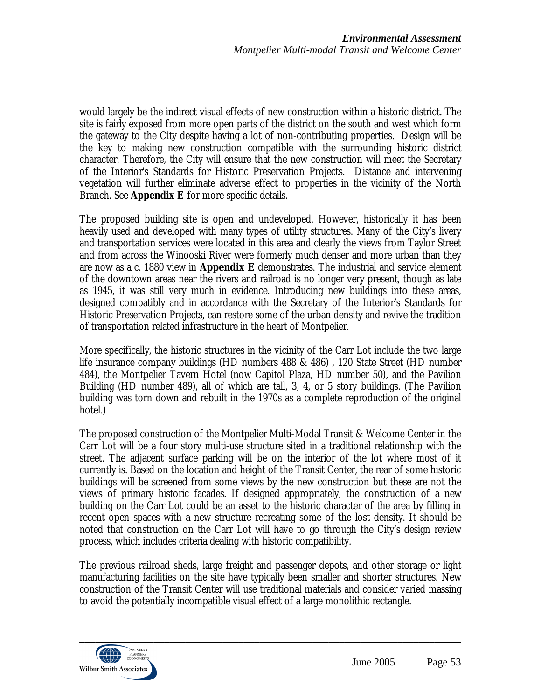would largely be the indirect visual effects of new construction within a historic district. The site is fairly exposed from more open parts of the district on the south and west which form the gateway to the City despite having a lot of non-contributing properties. Design will be the key to making new construction compatible with the surrounding historic district character. Therefore, the City will ensure that the new construction will meet the Secretary of the Interior's Standards for Historic Preservation Projects. Distance and intervening vegetation will further eliminate adverse effect to properties in the vicinity of the North Branch. See **Appendix E** for more specific details.

The proposed building site is open and undeveloped. However, historically it has been heavily used and developed with many types of utility structures. Many of the City's livery and transportation services were located in this area and clearly the views from Taylor Street and from across the Winooski River were formerly much denser and more urban than they are now as a c. 1880 view in **Appendix E** demonstrates. The industrial and service element of the downtown areas near the rivers and railroad is no longer very present, though as late as 1945, it was still very much in evidence. Introducing new buildings into these areas, designed compatibly and in accordance with the Secretary of the Interior's Standards for Historic Preservation Projects, can restore some of the urban density and revive the tradition of transportation related infrastructure in the heart of Montpelier.

More specifically, the historic structures in the vicinity of the Carr Lot include the two large life insurance company buildings (HD numbers 488 & 486) , 120 State Street (HD number 484), the Montpelier Tavern Hotel (now Capitol Plaza, HD number 50), and the Pavilion Building (HD number 489), all of which are tall, 3, 4, or 5 story buildings. (The Pavilion building was torn down and rebuilt in the 1970s as a complete reproduction of the original hotel.)

The proposed construction of the Montpelier Multi-Modal Transit & Welcome Center in the Carr Lot will be a four story multi-use structure sited in a traditional relationship with the street. The adjacent surface parking will be on the interior of the lot where most of it currently is. Based on the location and height of the Transit Center, the rear of some historic buildings will be screened from some views by the new construction but these are not the views of primary historic facades. If designed appropriately, the construction of a new building on the Carr Lot could be an asset to the historic character of the area by filling in recent open spaces with a new structure recreating some of the lost density. It should be noted that construction on the Carr Lot will have to go through the City's design review process, which includes criteria dealing with historic compatibility.

The previous railroad sheds, large freight and passenger depots, and other storage or light manufacturing facilities on the site have typically been smaller and shorter structures. New construction of the Transit Center will use traditional materials and consider varied massing to avoid the potentially incompatible visual effect of a large monolithic rectangle.

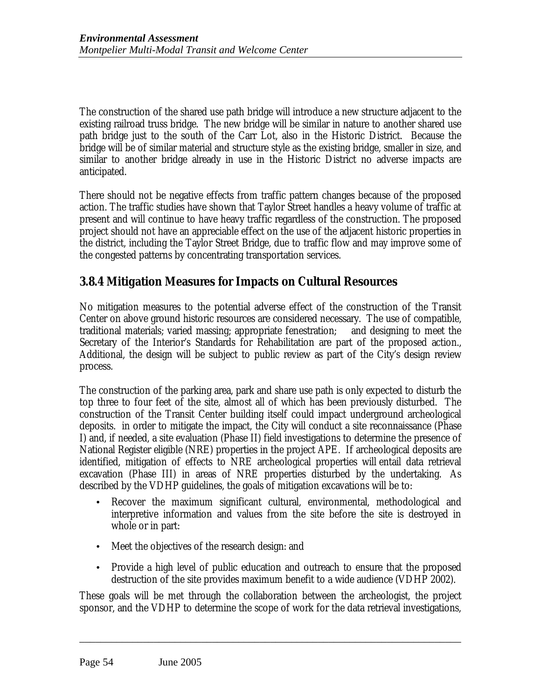The construction of the shared use path bridge will introduce a new structure adjacent to the existing railroad truss bridge. The new bridge will be similar in nature to another shared use path bridge just to the south of the Carr Lot, also in the Historic District. Because the bridge will be of similar material and structure style as the existing bridge, smaller in size, and similar to another bridge already in use in the Historic District no adverse impacts are anticipated.

There should not be negative effects from traffic pattern changes because of the proposed action. The traffic studies have shown that Taylor Street handles a heavy volume of traffic at present and will continue to have heavy traffic regardless of the construction. The proposed project should not have an appreciable effect on the use of the adjacent historic properties in the district, including the Taylor Street Bridge, due to traffic flow and may improve some of the congested patterns by concentrating transportation services.

# **3.8.4 Mitigation Measures for Impacts on Cultural Resources**

No mitigation measures to the potential adverse effect of the construction of the Transit Center on above ground historic resources are considered necessary. The use of compatible, traditional materials; varied massing; appropriate fenestration; and designing to meet the Secretary of the Interior's Standards for Rehabilitation are part of the proposed action., Additional, the design will be subject to public review as part of the City's design review process.

The construction of the parking area, park and share use path is only expected to disturb the top three to four feet of the site, almost all of which has been previously disturbed. The construction of the Transit Center building itself could impact underground archeological deposits. in order to mitigate the impact, the City will conduct a site reconnaissance (Phase I) and, if needed, a site evaluation (Phase II) field investigations to determine the presence of National Register eligible (NRE) properties in the project APE. If archeological deposits are identified, mitigation of effects to NRE archeological properties will entail data retrieval excavation (Phase III) in areas of NRE properties disturbed by the undertaking. As described by the VDHP guidelines, the goals of mitigation excavations will be to:

- Recover the maximum significant cultural, environmental, methodological and interpretive information and values from the site before the site is destroyed in whole or in part:
- Meet the objectives of the research design: and
- Provide a high level of public education and outreach to ensure that the proposed destruction of the site provides maximum benefit to a wide audience (VDHP 2002).

These goals will be met through the collaboration between the archeologist, the project sponsor, and the VDHP to determine the scope of work for the data retrieval investigations,

\_\_\_\_\_\_\_\_\_\_\_\_\_\_\_\_\_\_\_\_\_\_\_\_\_\_\_\_\_\_\_\_\_\_\_\_\_\_\_\_\_\_\_\_\_\_\_\_\_\_\_\_\_\_\_\_\_\_\_\_\_\_\_\_\_\_\_\_\_\_\_\_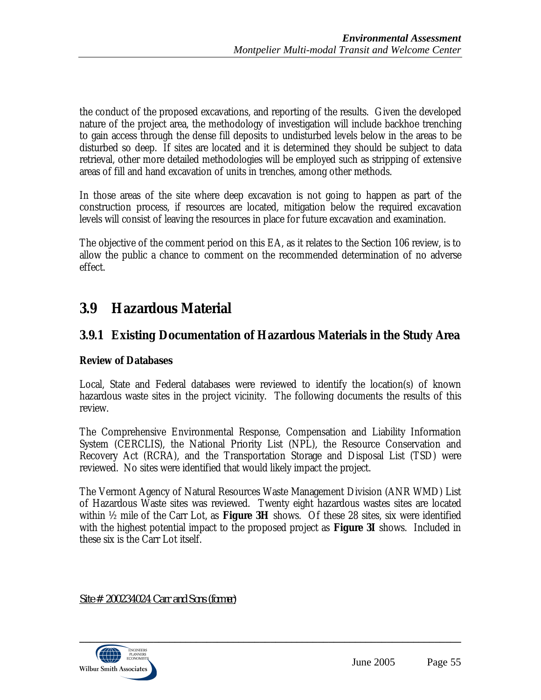the conduct of the proposed excavations, and reporting of the results. Given the developed nature of the project area, the methodology of investigation will include backhoe trenching to gain access through the dense fill deposits to undisturbed levels below in the areas to be disturbed so deep. If sites are located and it is determined they should be subject to data retrieval, other more detailed methodologies will be employed such as stripping of extensive areas of fill and hand excavation of units in trenches, among other methods.

In those areas of the site where deep excavation is not going to happen as part of the construction process, if resources are located, mitigation below the required excavation levels will consist of leaving the resources in place for future excavation and examination.

The objective of the comment period on this EA, as it relates to the Section 106 review, is to allow the public a chance to comment on the recommended determination of no adverse effect.

# **3.9 Hazardous Material**

# **3.9.1 Existing Documentation of Hazardous Materials in the Study Area**

## **Review of Databases**

Local, State and Federal databases were reviewed to identify the location(s) of known hazardous waste sites in the project vicinity. The following documents the results of this review.

The Comprehensive Environmental Response, Compensation and Liability Information System (CERCLIS), the National Priority List (NPL), the Resource Conservation and Recovery Act (RCRA), and the Transportation Storage and Disposal List (TSD) were reviewed. No sites were identified that would likely impact the project.

The Vermont Agency of Natural Resources Waste Management Division (ANR WMD) List of Hazardous Waste sites was reviewed. Twenty eight hazardous wastes sites are located within ½ mile of the Carr Lot, as **Figure 3H** shows. Of these 28 sites, six were identified with the highest potential impact to the proposed project as **Figure 3I** shows. Included in these six is the Carr Lot itself.

*Site # 200234024 Carr and Sons (former)*

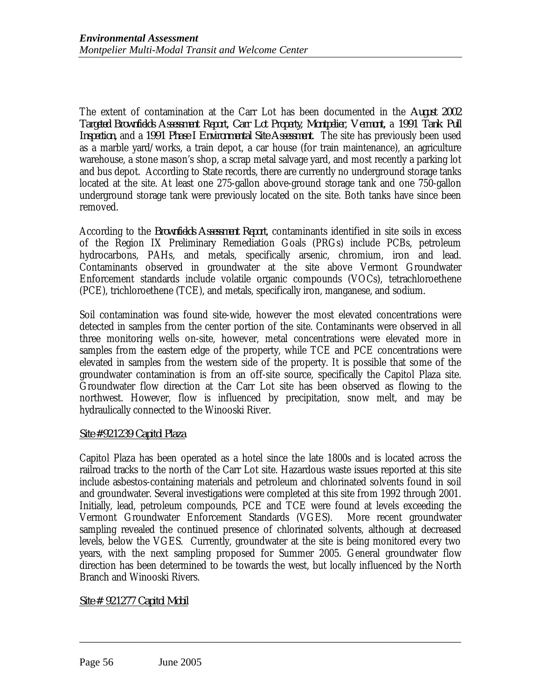The extent of contamination at the Carr Lot has been documented in the *August 2002 Targeted Brownfields Assessment Report, Carr Lot Property, Montpelier, Vermont,* a *1991 Tank Pull Inspection,* and a *1991 Phase I Environmental Site Assessment*. The site has previously been used as a marble yard/works, a train depot, a car house (for train maintenance), an agriculture warehouse, a stone mason's shop, a scrap metal salvage yard, and most recently a parking lot and bus depot. According to State records, there are currently no underground storage tanks located at the site. At least one 275-gallon above-ground storage tank and one 750-gallon underground storage tank were previously located on the site. Both tanks have since been removed.

According to the *Brownfields Assessment Report*, contaminants identified in site soils in excess of the Region IX Preliminary Remediation Goals (PRGs) include PCBs, petroleum hydrocarbons, PAHs, and metals, specifically arsenic, chromium, iron and lead. Contaminants observed in groundwater at the site above Vermont Groundwater Enforcement standards include volatile organic compounds (VOCs), tetrachloroethene (PCE), trichloroethene (TCE), and metals, specifically iron, manganese, and sodium.

Soil contamination was found site-wide, however the most elevated concentrations were detected in samples from the center portion of the site. Contaminants were observed in all three monitoring wells on-site, however, metal concentrations were elevated more in samples from the eastern edge of the property, while TCE and PCE concentrations were elevated in samples from the western side of the property. It is possible that some of the groundwater contamination is from an off-site source, specifically the Capitol Plaza site. Groundwater flow direction at the Carr Lot site has been observed as flowing to the northwest. However, flow is influenced by precipitation, snow melt, and may be hydraulically connected to the Winooski River.

### *Site #921239 Capitol Plaza*

Capitol Plaza has been operated as a hotel since the late 1800s and is located across the railroad tracks to the north of the Carr Lot site. Hazardous waste issues reported at this site include asbestos-containing materials and petroleum and chlorinated solvents found in soil and groundwater. Several investigations were completed at this site from 1992 through 2001. Initially, lead, petroleum compounds, PCE and TCE were found at levels exceeding the Vermont Groundwater Enforcement Standards (VGES). More recent groundwater sampling revealed the continued presence of chlorinated solvents, although at decreased levels, below the VGES. Currently, groundwater at the site is being monitored every two years, with the next sampling proposed for Summer 2005. General groundwater flow direction has been determined to be towards the west, but locally influenced by the North Branch and Winooski Rivers.

\_\_\_\_\_\_\_\_\_\_\_\_\_\_\_\_\_\_\_\_\_\_\_\_\_\_\_\_\_\_\_\_\_\_\_\_\_\_\_\_\_\_\_\_\_\_\_\_\_\_\_\_\_\_\_\_\_\_\_\_\_\_\_\_\_\_\_\_\_\_\_\_

*Site # 921277 Capitol Mobil*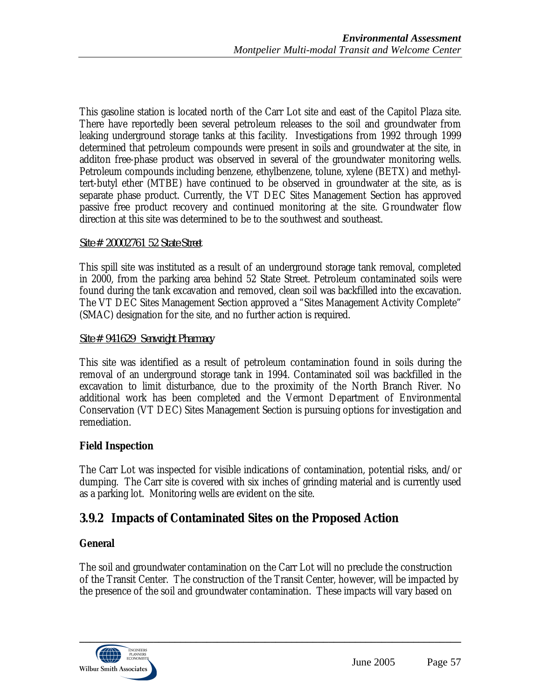This gasoline station is located north of the Carr Lot site and east of the Capitol Plaza site. There have reportedly been several petroleum releases to the soil and groundwater from leaking underground storage tanks at this facility. Investigations from 1992 through 1999 determined that petroleum compounds were present in soils and groundwater at the site, in additon free-phase product was observed in several of the groundwater monitoring wells. Petroleum compounds including benzene, ethylbenzene, tolune, xylene (BETX) and methyltert-butyl ether (MTBE) have continued to be observed in groundwater at the site, as is separate phase product. Currently, the VT DEC Sites Management Section has approved passive free product recovery and continued monitoring at the site. Groundwater flow direction at this site was determined to be to the southwest and southeast.

### *Site # 20002761 52 State Street*

This spill site was instituted as a result of an underground storage tank removal, completed in 2000, from the parking area behind 52 State Street. Petroleum contaminated soils were found during the tank excavation and removed, clean soil was backfilled into the excavation. The VT DEC Sites Management Section approved a "Sites Management Activity Complete" (SMAC) designation for the site, and no further action is required.

### *Site # 941629 Senwright Pharmacy*

This site was identified as a result of petroleum contamination found in soils during the removal of an underground storage tank in 1994. Contaminated soil was backfilled in the excavation to limit disturbance, due to the proximity of the North Branch River. No additional work has been completed and the Vermont Department of Environmental Conservation (VT DEC) Sites Management Section is pursuing options for investigation and remediation.

### **Field Inspection**

The Carr Lot was inspected for visible indications of contamination, potential risks, and/or dumping. The Carr site is covered with six inches of grinding material and is currently used as a parking lot. Monitoring wells are evident on the site.

## **3.9.2 Impacts of Contaminated Sites on the Proposed Action**

### **General**

The soil and groundwater contamination on the Carr Lot will no preclude the construction of the Transit Center. The construction of the Transit Center, however, will be impacted by the presence of the soil and groundwater contamination. These impacts will vary based on

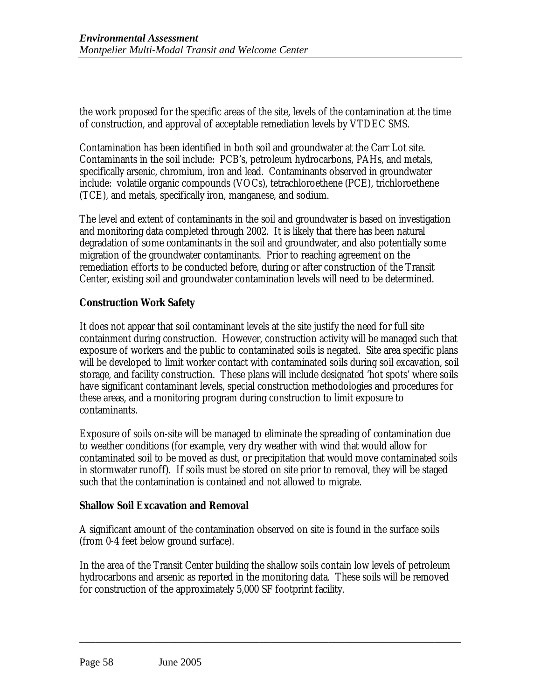the work proposed for the specific areas of the site, levels of the contamination at the time of construction, and approval of acceptable remediation levels by VTDEC SMS.

Contamination has been identified in both soil and groundwater at the Carr Lot site. Contaminants in the soil include: PCB's, petroleum hydrocarbons, PAHs, and metals, specifically arsenic, chromium, iron and lead. Contaminants observed in groundwater include: volatile organic compounds (VOCs), tetrachloroethene (PCE), trichloroethene (TCE), and metals, specifically iron, manganese, and sodium.

The level and extent of contaminants in the soil and groundwater is based on investigation and monitoring data completed through 2002. It is likely that there has been natural degradation of some contaminants in the soil and groundwater, and also potentially some migration of the groundwater contaminants. Prior to reaching agreement on the remediation efforts to be conducted before, during or after construction of the Transit Center, existing soil and groundwater contamination levels will need to be determined.

## **Construction Work Safety**

It does not appear that soil contaminant levels at the site justify the need for full site containment during construction. However, construction activity will be managed such that exposure of workers and the public to contaminated soils is negated. Site area specific plans will be developed to limit worker contact with contaminated soils during soil excavation, soil storage, and facility construction. These plans will include designated 'hot spots' where soils have significant contaminant levels, special construction methodologies and procedures for these areas, and a monitoring program during construction to limit exposure to contaminants.

Exposure of soils on-site will be managed to eliminate the spreading of contamination due to weather conditions (for example, very dry weather with wind that would allow for contaminated soil to be moved as dust, or precipitation that would move contaminated soils in stormwater runoff). If soils must be stored on site prior to removal, they will be staged such that the contamination is contained and not allowed to migrate.

### **Shallow Soil Excavation and Removal**

A significant amount of the contamination observed on site is found in the surface soils (from 0-4 feet below ground surface).

In the area of the Transit Center building the shallow soils contain low levels of petroleum hydrocarbons and arsenic as reported in the monitoring data. These soils will be removed for construction of the approximately 5,000 SF footprint facility.

\_\_\_\_\_\_\_\_\_\_\_\_\_\_\_\_\_\_\_\_\_\_\_\_\_\_\_\_\_\_\_\_\_\_\_\_\_\_\_\_\_\_\_\_\_\_\_\_\_\_\_\_\_\_\_\_\_\_\_\_\_\_\_\_\_\_\_\_\_\_\_\_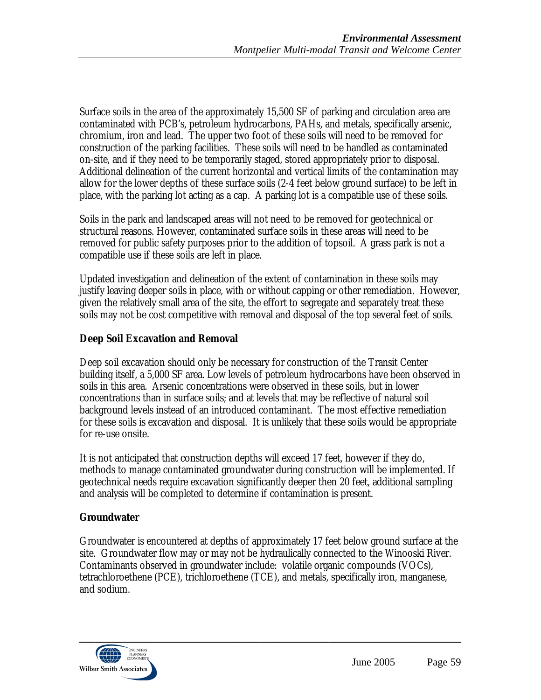Surface soils in the area of the approximately 15,500 SF of parking and circulation area are contaminated with PCB's, petroleum hydrocarbons, PAHs, and metals, specifically arsenic, chromium, iron and lead. The upper two foot of these soils will need to be removed for construction of the parking facilities. These soils will need to be handled as contaminated on-site, and if they need to be temporarily staged, stored appropriately prior to disposal. Additional delineation of the current horizontal and vertical limits of the contamination may allow for the lower depths of these surface soils (2-4 feet below ground surface) to be left in place, with the parking lot acting as a cap. A parking lot is a compatible use of these soils.

Soils in the park and landscaped areas will not need to be removed for geotechnical or structural reasons. However, contaminated surface soils in these areas will need to be removed for public safety purposes prior to the addition of topsoil. A grass park is not a compatible use if these soils are left in place.

Updated investigation and delineation of the extent of contamination in these soils may justify leaving deeper soils in place, with or without capping or other remediation. However, given the relatively small area of the site, the effort to segregate and separately treat these soils may not be cost competitive with removal and disposal of the top several feet of soils.

## **Deep Soil Excavation and Removal**

Deep soil excavation should only be necessary for construction of the Transit Center building itself, a 5,000 SF area. Low levels of petroleum hydrocarbons have been observed in soils in this area. Arsenic concentrations were observed in these soils, but in lower concentrations than in surface soils; and at levels that may be reflective of natural soil background levels instead of an introduced contaminant. The most effective remediation for these soils is excavation and disposal. It is unlikely that these soils would be appropriate for re-use onsite.

It is not anticipated that construction depths will exceed 17 feet, however if they do, methods to manage contaminated groundwater during construction will be implemented. If geotechnical needs require excavation significantly deeper then 20 feet, additional sampling and analysis will be completed to determine if contamination is present.

### **Groundwater**

Groundwater is encountered at depths of approximately 17 feet below ground surface at the site. Groundwater flow may or may not be hydraulically connected to the Winooski River. Contaminants observed in groundwater include: volatile organic compounds (VOCs), tetrachloroethene (PCE), trichloroethene (TCE), and metals, specifically iron, manganese, and sodium.

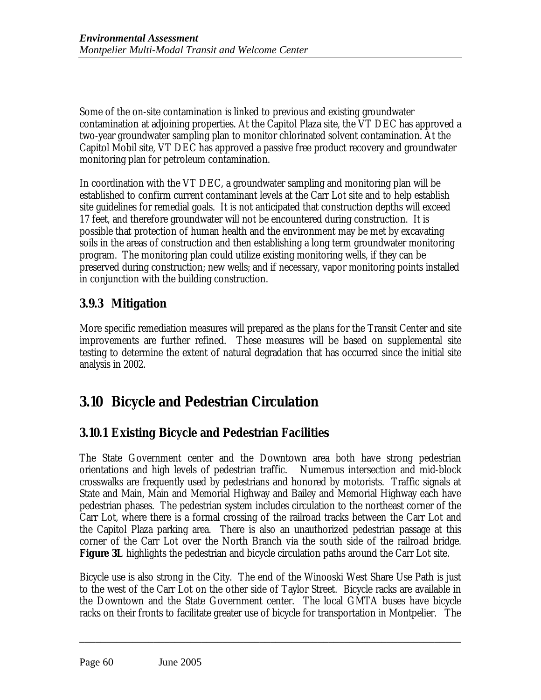Some of the on-site contamination is linked to previous and existing groundwater contamination at adjoining properties. At the Capitol Plaza site, the VT DEC has approved a two-year groundwater sampling plan to monitor chlorinated solvent contamination. At the Capitol Mobil site, VT DEC has approved a passive free product recovery and groundwater monitoring plan for petroleum contamination.

In coordination with the VT DEC, a groundwater sampling and monitoring plan will be established to confirm current contaminant levels at the Carr Lot site and to help establish site guidelines for remedial goals. It is not anticipated that construction depths will exceed 17 feet, and therefore groundwater will not be encountered during construction. It is possible that protection of human health and the environment may be met by excavating soils in the areas of construction and then establishing a long term groundwater monitoring program. The monitoring plan could utilize existing monitoring wells, if they can be preserved during construction; new wells; and if necessary, vapor monitoring points installed in conjunction with the building construction.

# **3.9.3 Mitigation**

More specific remediation measures will prepared as the plans for the Transit Center and site improvements are further refined. These measures will be based on supplemental site testing to determine the extent of natural degradation that has occurred since the initial site analysis in 2002.

# **3.10 Bicycle and Pedestrian Circulation**

# **3.10.1 Existing Bicycle and Pedestrian Facilities**

The State Government center and the Downtown area both have strong pedestrian orientations and high levels of pedestrian traffic. Numerous intersection and mid-block crosswalks are frequently used by pedestrians and honored by motorists. Traffic signals at State and Main, Main and Memorial Highway and Bailey and Memorial Highway each have pedestrian phases. The pedestrian system includes circulation to the northeast corner of the Carr Lot, where there is a formal crossing of the railroad tracks between the Carr Lot and the Capitol Plaza parking area. There is also an unauthorized pedestrian passage at this corner of the Carr Lot over the North Branch via the south side of the railroad bridge. **Figure 3L** highlights the pedestrian and bicycle circulation paths around the Carr Lot site.

Bicycle use is also strong in the City. The end of the Winooski West Share Use Path is just to the west of the Carr Lot on the other side of Taylor Street. Bicycle racks are available in the Downtown and the State Government center. The local GMTA buses have bicycle racks on their fronts to facilitate greater use of bicycle for transportation in Montpelier. The

\_\_\_\_\_\_\_\_\_\_\_\_\_\_\_\_\_\_\_\_\_\_\_\_\_\_\_\_\_\_\_\_\_\_\_\_\_\_\_\_\_\_\_\_\_\_\_\_\_\_\_\_\_\_\_\_\_\_\_\_\_\_\_\_\_\_\_\_\_\_\_\_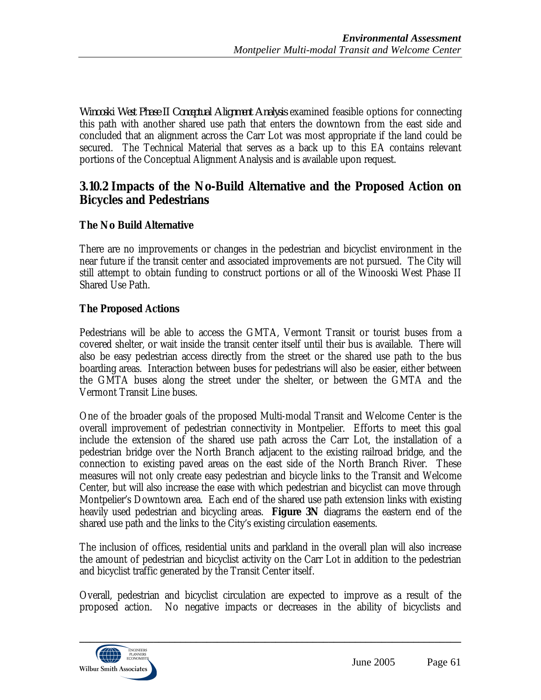*Winooski West Phase II Conceptual Alignment Analysis* examined feasible options for connecting this path with another shared use path that enters the downtown from the east side and concluded that an alignment across the Carr Lot was most appropriate if the land could be secured. The Technical Material that serves as a back up to this EA contains relevant portions of the Conceptual Alignment Analysis and is available upon request.

## **3.10.2 Impacts of the No-Build Alternative and the Proposed Action on Bicycles and Pedestrians**

## **The No Build Alternative**

There are no improvements or changes in the pedestrian and bicyclist environment in the near future if the transit center and associated improvements are not pursued. The City will still attempt to obtain funding to construct portions or all of the Winooski West Phase II Shared Use Path.

## **The Proposed Actions**

Pedestrians will be able to access the GMTA, Vermont Transit or tourist buses from a covered shelter, or wait inside the transit center itself until their bus is available. There will also be easy pedestrian access directly from the street or the shared use path to the bus boarding areas. Interaction between buses for pedestrians will also be easier, either between the GMTA buses along the street under the shelter, or between the GMTA and the Vermont Transit Line buses.

One of the broader goals of the proposed Multi-modal Transit and Welcome Center is the overall improvement of pedestrian connectivity in Montpelier. Efforts to meet this goal include the extension of the shared use path across the Carr Lot, the installation of a pedestrian bridge over the North Branch adjacent to the existing railroad bridge, and the connection to existing paved areas on the east side of the North Branch River. These measures will not only create easy pedestrian and bicycle links to the Transit and Welcome Center, but will also increase the ease with which pedestrian and bicyclist can move through Montpelier's Downtown area. Each end of the shared use path extension links with existing heavily used pedestrian and bicycling areas. **Figure 3N** diagrams the eastern end of the shared use path and the links to the City's existing circulation easements.

The inclusion of offices, residential units and parkland in the overall plan will also increase the amount of pedestrian and bicyclist activity on the Carr Lot in addition to the pedestrian and bicyclist traffic generated by the Transit Center itself.

Overall, pedestrian and bicyclist circulation are expected to improve as a result of the proposed action. No negative impacts or decreases in the ability of bicyclists and

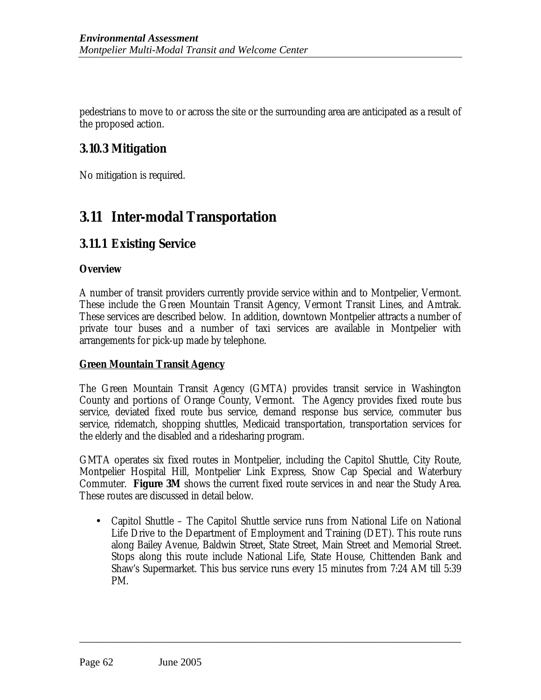pedestrians to move to or across the site or the surrounding area are anticipated as a result of the proposed action.

## **3.10.3 Mitigation**

No mitigation is required.

# **3.11 Inter-modal Transportation**

# **3.11.1 Existing Service**

### **Overview**

A number of transit providers currently provide service within and to Montpelier, Vermont. These include the Green Mountain Transit Agency, Vermont Transit Lines, and Amtrak. These services are described below. In addition, downtown Montpelier attracts a number of private tour buses and a number of taxi services are available in Montpelier with arrangements for pick-up made by telephone.

## **Green Mountain Transit Agency**

The Green Mountain Transit Agency (GMTA) provides transit service in Washington County and portions of Orange County, Vermont. The Agency provides fixed route bus service, deviated fixed route bus service, demand response bus service, commuter bus service, ridematch, shopping shuttles, Medicaid transportation, transportation services for the elderly and the disabled and a ridesharing program.

GMTA operates six fixed routes in Montpelier, including the Capitol Shuttle, City Route, Montpelier Hospital Hill, Montpelier Link Express, Snow Cap Special and Waterbury Commuter. **Figure 3M** shows the current fixed route services in and near the Study Area. These routes are discussed in detail below.

• Capitol Shuttle – The Capitol Shuttle service runs from National Life on National Life Drive to the Department of Employment and Training (DET). This route runs along Bailey Avenue, Baldwin Street, State Street, Main Street and Memorial Street. Stops along this route include National Life, State House, Chittenden Bank and Shaw's Supermarket. This bus service runs every 15 minutes from 7:24 AM till 5:39 PM.

\_\_\_\_\_\_\_\_\_\_\_\_\_\_\_\_\_\_\_\_\_\_\_\_\_\_\_\_\_\_\_\_\_\_\_\_\_\_\_\_\_\_\_\_\_\_\_\_\_\_\_\_\_\_\_\_\_\_\_\_\_\_\_\_\_\_\_\_\_\_\_\_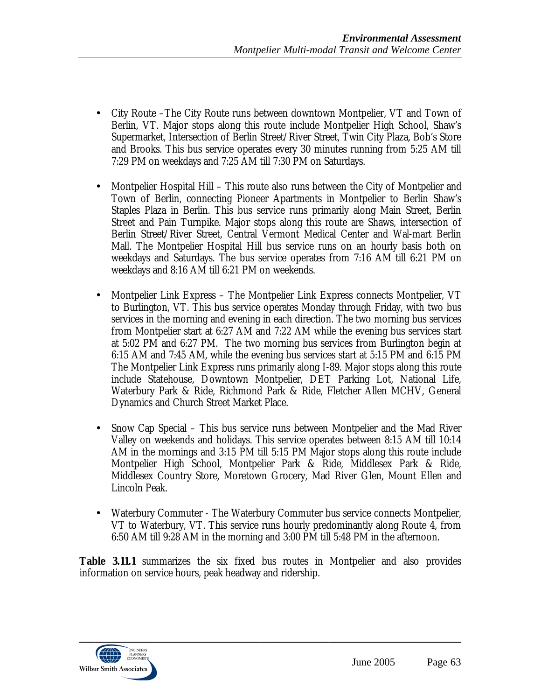- City Route –The City Route runs between downtown Montpelier, VT and Town of Berlin, VT. Major stops along this route include Montpelier High School, Shaw's Supermarket, Intersection of Berlin Street/River Street, Twin City Plaza, Bob's Store and Brooks. This bus service operates every 30 minutes running from 5:25 AM till 7:29 PM on weekdays and 7:25 AM till 7:30 PM on Saturdays.
- Montpelier Hospital Hill This route also runs between the City of Montpelier and Town of Berlin, connecting Pioneer Apartments in Montpelier to Berlin Shaw's Staples Plaza in Berlin. This bus service runs primarily along Main Street, Berlin Street and Pain Turnpike. Major stops along this route are Shaws, intersection of Berlin Street/River Street, Central Vermont Medical Center and Wal-mart Berlin Mall. The Montpelier Hospital Hill bus service runs on an hourly basis both on weekdays and Saturdays. The bus service operates from 7:16 AM till 6:21 PM on weekdays and 8:16 AM till 6:21 PM on weekends.
- Montpelier Link Express The Montpelier Link Express connects Montpelier, VT to Burlington, VT. This bus service operates Monday through Friday, with two bus services in the morning and evening in each direction. The two morning bus services from Montpelier start at 6:27 AM and 7:22 AM while the evening bus services start at 5:02 PM and 6:27 PM. The two morning bus services from Burlington begin at 6:15 AM and 7:45 AM, while the evening bus services start at 5:15 PM and 6:15 PM The Montpelier Link Express runs primarily along I-89. Major stops along this route include Statehouse, Downtown Montpelier, DET Parking Lot, National Life, Waterbury Park & Ride, Richmond Park & Ride, Fletcher Allen MCHV, General Dynamics and Church Street Market Place.
- Snow Cap Special This bus service runs between Montpelier and the Mad River Valley on weekends and holidays. This service operates between 8:15 AM till 10:14 AM in the mornings and 3:15 PM till 5:15 PM Major stops along this route include Montpelier High School, Montpelier Park & Ride, Middlesex Park & Ride, Middlesex Country Store, Moretown Grocery, Mad River Glen, Mount Ellen and Lincoln Peak.
- Waterbury Commuter The Waterbury Commuter bus service connects Montpelier, VT to Waterbury, VT. This service runs hourly predominantly along Route 4, from 6:50 AM till 9:28 AM in the morning and 3:00 PM till 5:48 PM in the afternoon.

**Table 3.11.1** summarizes the six fixed bus routes in Montpelier and also provides information on service hours, peak headway and ridership.

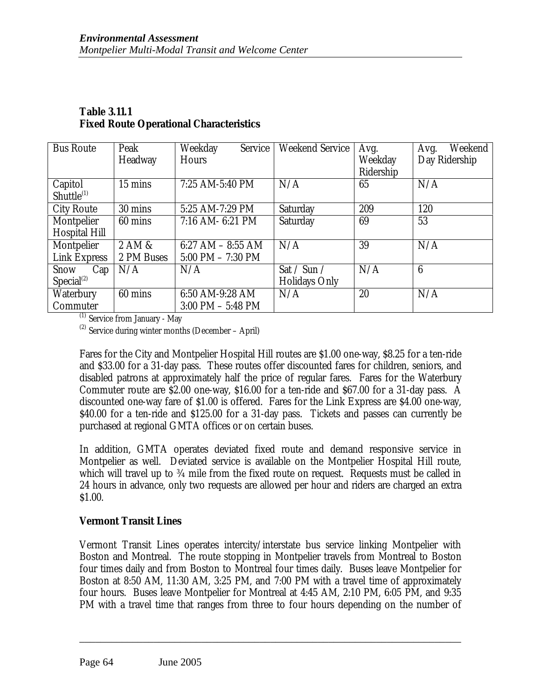| <b>Bus Route</b>       | Peak        | Weekday<br>Service    | <b>Weekend Service</b> | Avg.      | Weekend<br>Avg. |
|------------------------|-------------|-----------------------|------------------------|-----------|-----------------|
|                        | Headway     | <b>Hours</b>          |                        | Weekday   | Day Ridership   |
|                        |             |                       |                        | Ridership |                 |
| Capitol                | 15 mins     | 7:25 AM-5:40 PM       | N/A                    | 65        | N/A             |
| Shuttle <sup>(1)</sup> |             |                       |                        |           |                 |
| <b>City Route</b>      | 30 mins     | 5:25 AM-7:29 PM       | Saturday               | 209       | 120             |
| Montpelier             | 60 mins     | 7:16 AM- 6:21 PM      | Saturday               | 69        | 53              |
| <b>Hospital Hill</b>   |             |                       |                        |           |                 |
| Montpelier             | $2$ AM $\&$ | 6:27 AM $-$ 8:55 AM   | N/A                    | 39        | N/A             |
| Link Express           | 2 PM Buses  | $5:00$ PM $- 7:30$ PM |                        |           |                 |
| Snow<br>Cap            | N/A         | N/A                   | Sat / Sun /            | N/A       | $6\phantom{1}6$ |
| Special <sup>(2)</sup> |             |                       | <b>Holidays Only</b>   |           |                 |
| Waterbury              | 60 mins     | 6:50 AM-9:28 AM       | N/A                    | 20        | N/A             |
| Commuter               |             | $3:00$ PM $-5:48$ PM  |                        |           |                 |

### **Table 3.11.1 Fixed Route Operational Characteristics**

(1) Service from January - May

 $(2)$  Service during winter months (December – April)

Fares for the City and Montpelier Hospital Hill routes are \$1.00 one-way, \$8.25 for a ten-ride and \$33.00 for a 31-day pass. These routes offer discounted fares for children, seniors, and disabled patrons at approximately half the price of regular fares. Fares for the Waterbury Commuter route are \$2.00 one-way, \$16.00 for a ten-ride and \$67.00 for a 31-day pass. A discounted one-way fare of \$1.00 is offered. Fares for the Link Express are \$4.00 one-way, \$40.00 for a ten-ride and \$125.00 for a 31-day pass. Tickets and passes can currently be purchased at regional GMTA offices or on certain buses.

In addition, GMTA operates deviated fixed route and demand responsive service in Montpelier as well. Deviated service is available on the Montpelier Hospital Hill route, which will travel up to <sup>3</sup>/<sub>4</sub> mile from the fixed route on request. Requests must be called in 24 hours in advance, only two requests are allowed per hour and riders are charged an extra \$1.00.

## **Vermont Transit Lines**

Vermont Transit Lines operates intercity/interstate bus service linking Montpelier with Boston and Montreal. The route stopping in Montpelier travels from Montreal to Boston four times daily and from Boston to Montreal four times daily. Buses leave Montpelier for Boston at 8:50 AM, 11:30 AM, 3:25 PM, and 7:00 PM with a travel time of approximately four hours. Buses leave Montpelier for Montreal at 4:45 AM, 2:10 PM, 6:05 PM, and 9:35 PM with a travel time that ranges from three to four hours depending on the number of

\_\_\_\_\_\_\_\_\_\_\_\_\_\_\_\_\_\_\_\_\_\_\_\_\_\_\_\_\_\_\_\_\_\_\_\_\_\_\_\_\_\_\_\_\_\_\_\_\_\_\_\_\_\_\_\_\_\_\_\_\_\_\_\_\_\_\_\_\_\_\_\_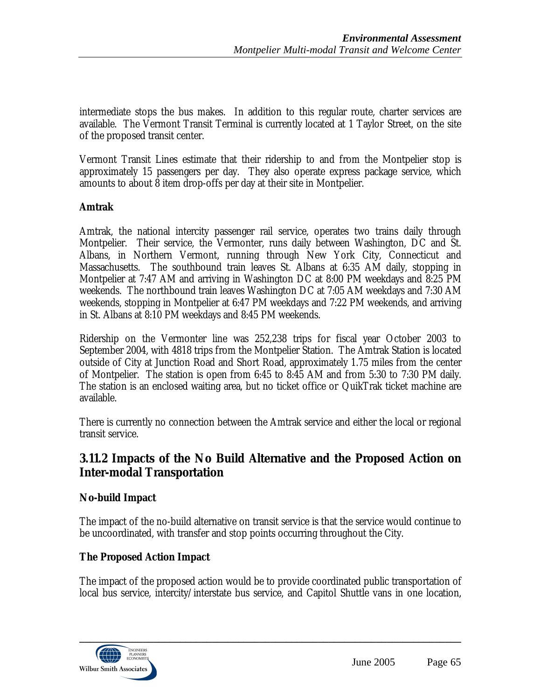intermediate stops the bus makes. In addition to this regular route, charter services are available. The Vermont Transit Terminal is currently located at 1 Taylor Street, on the site of the proposed transit center.

Vermont Transit Lines estimate that their ridership to and from the Montpelier stop is approximately 15 passengers per day. They also operate express package service, which amounts to about 8 item drop-offs per day at their site in Montpelier.

### **Amtrak**

Amtrak, the national intercity passenger rail service, operates two trains daily through Montpelier. Their service, the Vermonter, runs daily between Washington, DC and St. Albans, in Northern Vermont, running through New York City, Connecticut and Massachusetts. The southbound train leaves St. Albans at 6:35 AM daily, stopping in Montpelier at 7:47 AM and arriving in Washington DC at 8:00 PM weekdays and 8:25 PM weekends. The northbound train leaves Washington DC at 7:05 AM weekdays and 7:30 AM weekends, stopping in Montpelier at 6:47 PM weekdays and 7:22 PM weekends, and arriving in St. Albans at 8:10 PM weekdays and 8:45 PM weekends.

Ridership on the Vermonter line was 252,238 trips for fiscal year October 2003 to September 2004, with 4818 trips from the Montpelier Station. The Amtrak Station is located outside of City at Junction Road and Short Road, approximately 1.75 miles from the center of Montpelier. The station is open from 6:45 to 8:45 AM and from 5:30 to 7:30 PM daily. The station is an enclosed waiting area, but no ticket office or QuikTrak ticket machine are available.

There is currently no connection between the Amtrak service and either the local or regional transit service.

## **3.11.2 Impacts of the No Build Alternative and the Proposed Action on Inter-modal Transportation**

### **No-build Impact**

The impact of the no-build alternative on transit service is that the service would continue to be uncoordinated, with transfer and stop points occurring throughout the City.

### **The Proposed Action Impact**

The impact of the proposed action would be to provide coordinated public transportation of local bus service, intercity/interstate bus service, and Capitol Shuttle vans in one location,

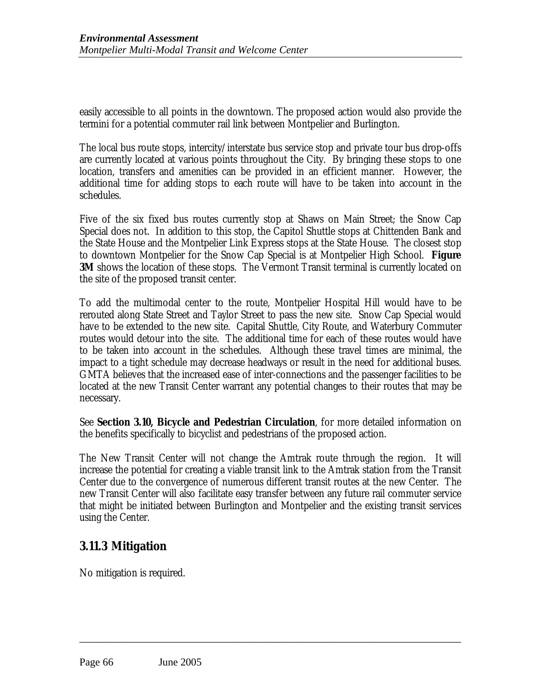easily accessible to all points in the downtown. The proposed action would also provide the termini for a potential commuter rail link between Montpelier and Burlington.

The local bus route stops, intercity/interstate bus service stop and private tour bus drop-offs are currently located at various points throughout the City. By bringing these stops to one location, transfers and amenities can be provided in an efficient manner. However, the additional time for adding stops to each route will have to be taken into account in the schedules.

Five of the six fixed bus routes currently stop at Shaws on Main Street; the Snow Cap Special does not. In addition to this stop, the Capitol Shuttle stops at Chittenden Bank and the State House and the Montpelier Link Express stops at the State House. The closest stop to downtown Montpelier for the Snow Cap Special is at Montpelier High School. **Figure 3M** shows the location of these stops. The Vermont Transit terminal is currently located on the site of the proposed transit center.

To add the multimodal center to the route, Montpelier Hospital Hill would have to be rerouted along State Street and Taylor Street to pass the new site. Snow Cap Special would have to be extended to the new site. Capital Shuttle, City Route, and Waterbury Commuter routes would detour into the site. The additional time for each of these routes would have to be taken into account in the schedules. Although these travel times are minimal, the impact to a tight schedule may decrease headways or result in the need for additional buses. GMTA believes that the increased ease of inter-connections and the passenger facilities to be located at the new Transit Center warrant any potential changes to their routes that may be necessary.

See **Section 3.10, Bicycle and Pedestrian Circulation**, for more detailed information on the benefits specifically to bicyclist and pedestrians of the proposed action.

The New Transit Center will not change the Amtrak route through the region. It will increase the potential for creating a viable transit link to the Amtrak station from the Transit Center due to the convergence of numerous different transit routes at the new Center. The new Transit Center will also facilitate easy transfer between any future rail commuter service that might be initiated between Burlington and Montpelier and the existing transit services using the Center.

\_\_\_\_\_\_\_\_\_\_\_\_\_\_\_\_\_\_\_\_\_\_\_\_\_\_\_\_\_\_\_\_\_\_\_\_\_\_\_\_\_\_\_\_\_\_\_\_\_\_\_\_\_\_\_\_\_\_\_\_\_\_\_\_\_\_\_\_\_\_\_\_

# **3.11.3 Mitigation**

No mitigation is required.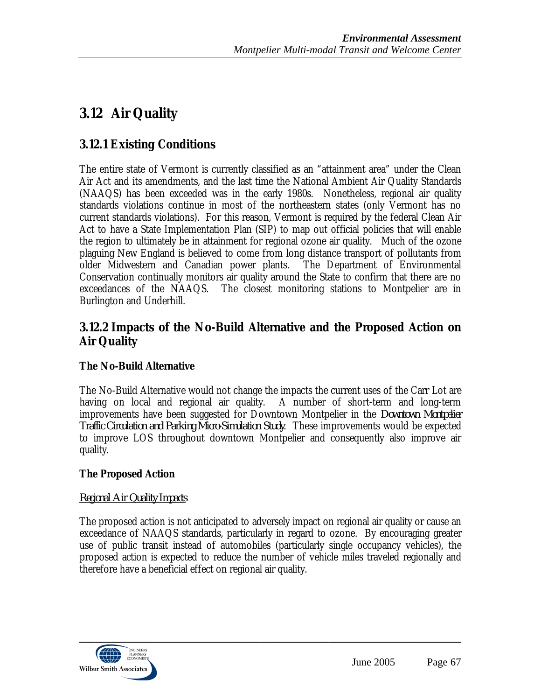# **3.12 Air Quality**

# **3.12.1 Existing Conditions**

The entire state of Vermont is currently classified as an "attainment area" under the Clean Air Act and its amendments, and the last time the National Ambient Air Quality Standards (NAAQS) has been exceeded was in the early 1980s. Nonetheless, regional air quality standards violations continue in most of the northeastern states (only Vermont has no current standards violations). For this reason, Vermont is required by the federal Clean Air Act to have a State Implementation Plan (SIP) to map out official policies that will enable the region to ultimately be in attainment for regional ozone air quality. Much of the ozone plaguing New England is believed to come from long distance transport of pollutants from older Midwestern and Canadian power plants. The Department of Environmental Conservation continually monitors air quality around the State to confirm that there are no exceedances of the NAAQS. The closest monitoring stations to Montpelier are in Burlington and Underhill.

# **3.12.2 Impacts of the No-Build Alternative and the Proposed Action on Air Quality**

## **The No-Build Alternative**

The No-Build Alternative would not change the impacts the current uses of the Carr Lot are having on local and regional air quality. A number of short-term and long-term improvements have been suggested for Downtown Montpelier in the *Downtown Montpelier Traffic Circulation and Parking Micro-Simulation Study*. These improvements would be expected to improve LOS throughout downtown Montpelier and consequently also improve air quality.

## **The Proposed Action**

## *Regional Air Quality Impacts*

The proposed action is not anticipated to adversely impact on regional air quality or cause an exceedance of NAAQS standards, particularly in regard to ozone. By encouraging greater use of public transit instead of automobiles (particularly single occupancy vehicles), the proposed action is expected to reduce the number of vehicle miles traveled regionally and therefore have a beneficial effect on regional air quality.

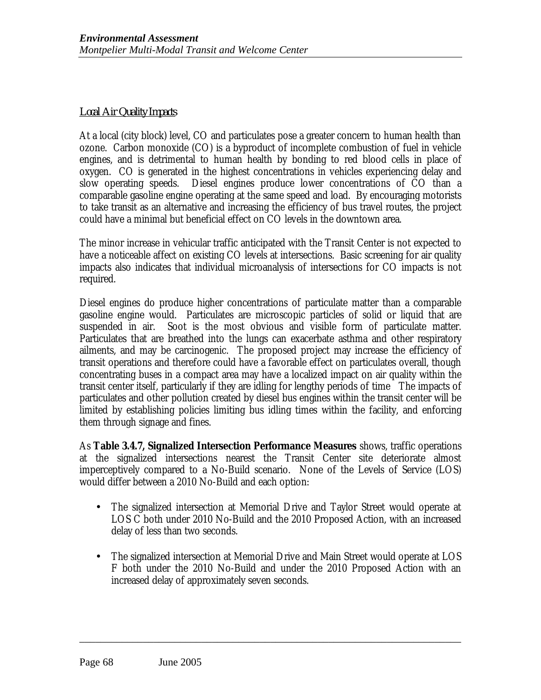### *Local Air Quality Impacts*

At a local (city block) level, CO and particulates pose a greater concern to human health than ozone. Carbon monoxide (CO) is a byproduct of incomplete combustion of fuel in vehicle engines, and is detrimental to human health by bonding to red blood cells in place of oxygen. CO is generated in the highest concentrations in vehicles experiencing delay and slow operating speeds. Diesel engines produce lower concentrations of CO than a comparable gasoline engine operating at the same speed and load. By encouraging motorists to take transit as an alternative and increasing the efficiency of bus travel routes, the project could have a minimal but beneficial effect on CO levels in the downtown area.

The minor increase in vehicular traffic anticipated with the Transit Center is not expected to have a noticeable affect on existing CO levels at intersections. Basic screening for air quality impacts also indicates that individual microanalysis of intersections for CO impacts is not required.

Diesel engines do produce higher concentrations of particulate matter than a comparable gasoline engine would. Particulates are microscopic particles of solid or liquid that are suspended in air. Soot is the most obvious and visible form of particulate matter. Particulates that are breathed into the lungs can exacerbate asthma and other respiratory ailments, and may be carcinogenic. The proposed project may increase the efficiency of transit operations and therefore could have a favorable effect on particulates overall, though concentrating buses in a compact area may have a localized impact on air quality within the transit center itself, particularly if they are idling for lengthy periods of time The impacts of particulates and other pollution created by diesel bus engines within the transit center will be limited by establishing policies limiting bus idling times within the facility, and enforcing them through signage and fines.

As **Table 3.4.7, Signalized Intersection Performance Measures** shows, traffic operations at the signalized intersections nearest the Transit Center site deteriorate almost imperceptively compared to a No-Build scenario. None of the Levels of Service (LOS) would differ between a 2010 No-Build and each option:

- The signalized intersection at Memorial Drive and Taylor Street would operate at LOS C both under 2010 No-Build and the 2010 Proposed Action, with an increased delay of less than two seconds.
- The signalized intersection at Memorial Drive and Main Street would operate at LOS F both under the 2010 No-Build and under the 2010 Proposed Action with an increased delay of approximately seven seconds.

\_\_\_\_\_\_\_\_\_\_\_\_\_\_\_\_\_\_\_\_\_\_\_\_\_\_\_\_\_\_\_\_\_\_\_\_\_\_\_\_\_\_\_\_\_\_\_\_\_\_\_\_\_\_\_\_\_\_\_\_\_\_\_\_\_\_\_\_\_\_\_\_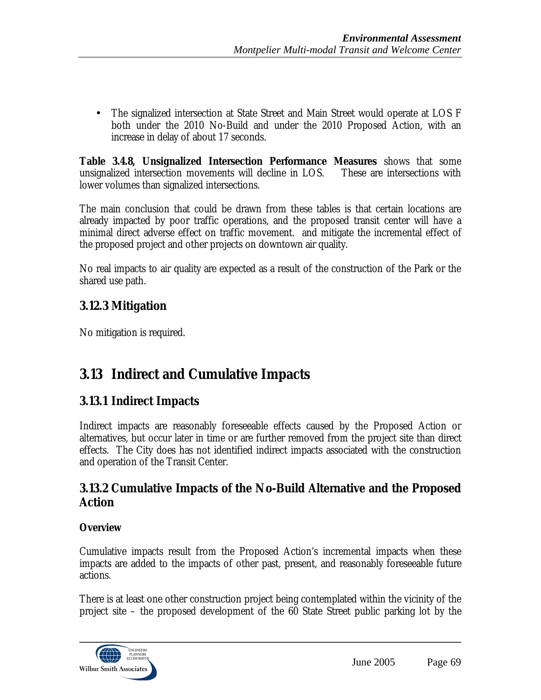• The signalized intersection at State Street and Main Street would operate at LOS F both under the 2010 No-Build and under the 2010 Proposed Action, with an increase in delay of about 17 seconds.

**Table 3.4.8, Unsignalized Intersection Performance Measures** shows that some unsignalized intersection movements will decline in LOS. These are intersections with lower volumes than signalized intersections.

The main conclusion that could be drawn from these tables is that certain locations are already impacted by poor traffic operations, and the proposed transit center will have a minimal direct adverse effect on traffic movement. and mitigate the incremental effect of the proposed project and other projects on downtown air quality.

No real impacts to air quality are expected as a result of the construction of the Park or the shared use path.

# **3.12.3 Mitigation**

No mitigation is required.

# **3.13 Indirect and Cumulative Impacts**

# **3.13.1 Indirect Impacts**

Indirect impacts are reasonably foreseeable effects caused by the Proposed Action or alternatives, but occur later in time or are further removed from the project site than direct effects. The City does has not identified indirect impacts associated with the construction and operation of the Transit Center.

## **3.13.2 Cumulative Impacts of the No-Build Alternative and the Proposed Action**

### **Overview**

Cumulative impacts result from the Proposed Action's incremental impacts when these impacts are added to the impacts of other past, present, and reasonably foreseeable future actions.

There is at least one other construction project being contemplated within the vicinity of the project site – the proposed development of the 60 State Street public parking lot by the

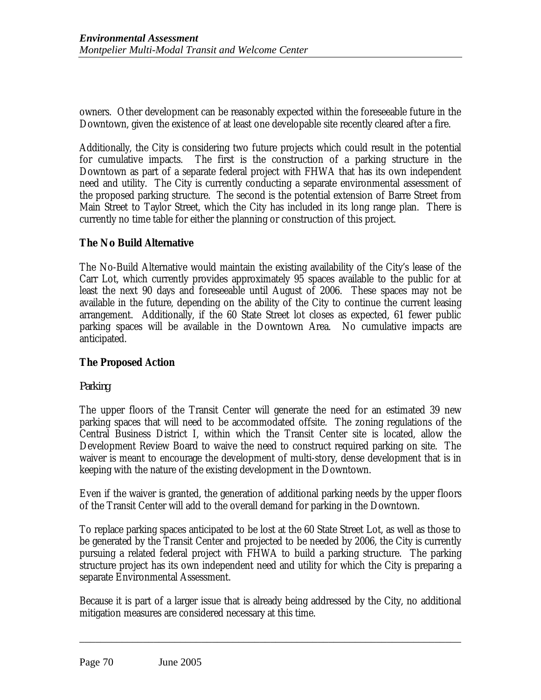owners. Other development can be reasonably expected within the foreseeable future in the Downtown, given the existence of at least one developable site recently cleared after a fire.

Additionally, the City is considering two future projects which could result in the potential for cumulative impacts. The first is the construction of a parking structure in the Downtown as part of a separate federal project with FHWA that has its own independent need and utility. The City is currently conducting a separate environmental assessment of the proposed parking structure. The second is the potential extension of Barre Street from Main Street to Taylor Street, which the City has included in its long range plan. There is currently no time table for either the planning or construction of this project.

## **The No Build Alternative**

The No-Build Alternative would maintain the existing availability of the City's lease of the Carr Lot, which currently provides approximately 95 spaces available to the public for at least the next 90 days and foreseeable until August of 2006. These spaces may not be available in the future, depending on the ability of the City to continue the current leasing arrangement. Additionally, if the 60 State Street lot closes as expected, 61 fewer public parking spaces will be available in the Downtown Area. No cumulative impacts are anticipated.

## **The Proposed Action**

### *Parking*

The upper floors of the Transit Center will generate the need for an estimated 39 new parking spaces that will need to be accommodated offsite. The zoning regulations of the Central Business District I, within which the Transit Center site is located, allow the Development Review Board to waive the need to construct required parking on site. The waiver is meant to encourage the development of multi-story, dense development that is in keeping with the nature of the existing development in the Downtown.

Even if the waiver is granted, the generation of additional parking needs by the upper floors of the Transit Center will add to the overall demand for parking in the Downtown.

To replace parking spaces anticipated to be lost at the 60 State Street Lot, as well as those to be generated by the Transit Center and projected to be needed by 2006, the City is currently pursuing a related federal project with FHWA to build a parking structure. The parking structure project has its own independent need and utility for which the City is preparing a separate Environmental Assessment.

Because it is part of a larger issue that is already being addressed by the City, no additional mitigation measures are considered necessary at this time.

\_\_\_\_\_\_\_\_\_\_\_\_\_\_\_\_\_\_\_\_\_\_\_\_\_\_\_\_\_\_\_\_\_\_\_\_\_\_\_\_\_\_\_\_\_\_\_\_\_\_\_\_\_\_\_\_\_\_\_\_\_\_\_\_\_\_\_\_\_\_\_\_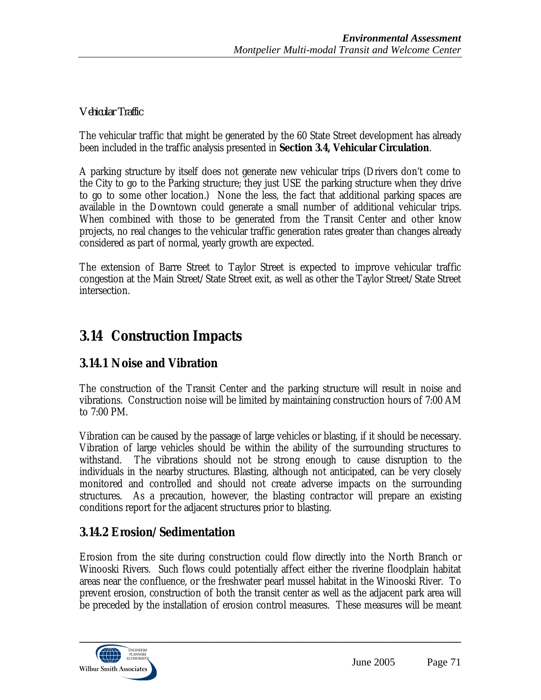## *Vehicular Traffic*

The vehicular traffic that might be generated by the 60 State Street development has already been included in the traffic analysis presented in **Section 3.4, Vehicular Circulation**.

A parking structure by itself does not generate new vehicular trips (Drivers don't come to the City to go to the Parking structure; they just USE the parking structure when they drive to go to some other location.) None the less, the fact that additional parking spaces are available in the Downtown could generate a small number of additional vehicular trips. When combined with those to be generated from the Transit Center and other know projects, no real changes to the vehicular traffic generation rates greater than changes already considered as part of normal, yearly growth are expected.

The extension of Barre Street to Taylor Street is expected to improve vehicular traffic congestion at the Main Street/State Street exit, as well as other the Taylor Street/State Street intersection.

# **3.14 Construction Impacts**

# **3.14.1 Noise and Vibration**

The construction of the Transit Center and the parking structure will result in noise and vibrations. Construction noise will be limited by maintaining construction hours of 7:00 AM to 7:00 PM.

Vibration can be caused by the passage of large vehicles or blasting, if it should be necessary. Vibration of large vehicles should be within the ability of the surrounding structures to withstand. The vibrations should not be strong enough to cause disruption to the individuals in the nearby structures. Blasting, although not anticipated, can be very closely monitored and controlled and should not create adverse impacts on the surrounding structures. As a precaution, however, the blasting contractor will prepare an existing conditions report for the adjacent structures prior to blasting.

# **3.14.2 Erosion/Sedimentation**

Erosion from the site during construction could flow directly into the North Branch or Winooski Rivers. Such flows could potentially affect either the riverine floodplain habitat areas near the confluence, or the freshwater pearl mussel habitat in the Winooski River. To prevent erosion, construction of both the transit center as well as the adjacent park area will be preceded by the installation of erosion control measures. These measures will be meant

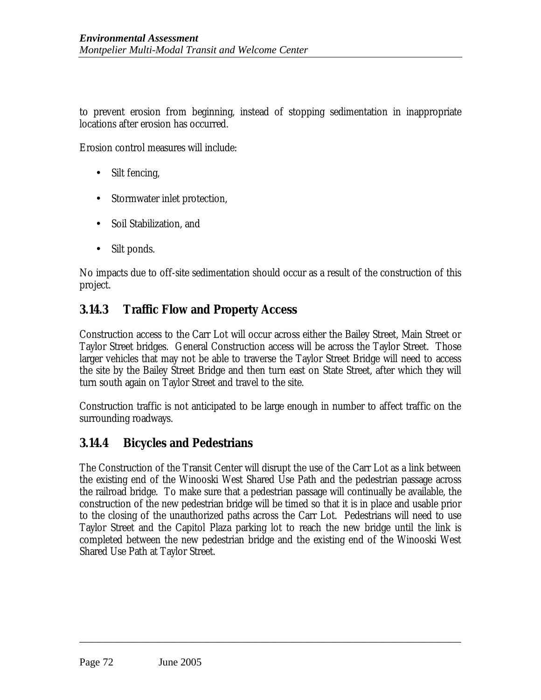to prevent erosion from beginning, instead of stopping sedimentation in inappropriate locations after erosion has occurred.

Erosion control measures will include:

- Silt fencing,
- Stormwater inlet protection,
- Soil Stabilization, and
- Silt ponds.

No impacts due to off-site sedimentation should occur as a result of the construction of this project.

# **3.14.3 Traffic Flow and Property Access**

Construction access to the Carr Lot will occur across either the Bailey Street, Main Street or Taylor Street bridges. General Construction access will be across the Taylor Street. Those larger vehicles that may not be able to traverse the Taylor Street Bridge will need to access the site by the Bailey Street Bridge and then turn east on State Street, after which they will turn south again on Taylor Street and travel to the site.

Construction traffic is not anticipated to be large enough in number to affect traffic on the surrounding roadways.

# **3.14.4 Bicycles and Pedestrians**

The Construction of the Transit Center will disrupt the use of the Carr Lot as a link between the existing end of the Winooski West Shared Use Path and the pedestrian passage across the railroad bridge. To make sure that a pedestrian passage will continually be available, the construction of the new pedestrian bridge will be timed so that it is in place and usable prior to the closing of the unauthorized paths across the Carr Lot. Pedestrians will need to use Taylor Street and the Capitol Plaza parking lot to reach the new bridge until the link is completed between the new pedestrian bridge and the existing end of the Winooski West Shared Use Path at Taylor Street.

\_\_\_\_\_\_\_\_\_\_\_\_\_\_\_\_\_\_\_\_\_\_\_\_\_\_\_\_\_\_\_\_\_\_\_\_\_\_\_\_\_\_\_\_\_\_\_\_\_\_\_\_\_\_\_\_\_\_\_\_\_\_\_\_\_\_\_\_\_\_\_\_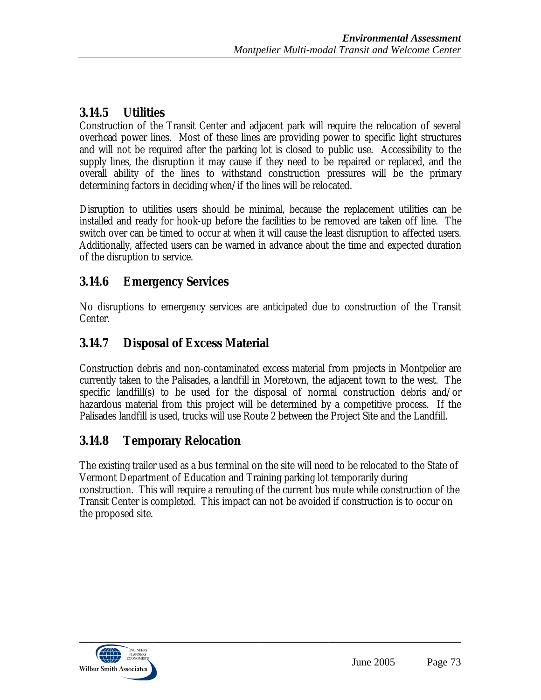# **3.14.5 Utilities**

Construction of the Transit Center and adjacent park will require the relocation of several overhead power lines. Most of these lines are providing power to specific light structures and will not be required after the parking lot is closed to public use. Accessibility to the supply lines, the disruption it may cause if they need to be repaired or replaced, and the overall ability of the lines to withstand construction pressures will be the primary determining factors in deciding when/if the lines will be relocated.

Disruption to utilities users should be minimal, because the replacement utilities can be installed and ready for hook-up before the facilities to be removed are taken off line. The switch over can be timed to occur at when it will cause the least disruption to affected users. Additionally, affected users can be warned in advance about the time and expected duration of the disruption to service.

# **3.14.6 Emergency Services**

No disruptions to emergency services are anticipated due to construction of the Transit Center.

# **3.14.7 Disposal of Excess Material**

Construction debris and non-contaminated excess material from projects in Montpelier are currently taken to the Palisades, a landfill in Moretown, the adjacent town to the west. The specific landfill(s) to be used for the disposal of normal construction debris and/or hazardous material from this project will be determined by a competitive process. If the Palisades landfill is used, trucks will use Route 2 between the Project Site and the Landfill.

# **3.14.8 Temporary Relocation**

The existing trailer used as a bus terminal on the site will need to be relocated to the State of Vermont Department of Education and Training parking lot temporarily during construction. This will require a rerouting of the current bus route while construction of the Transit Center is completed. This impact can not be avoided if construction is to occur on the proposed site.